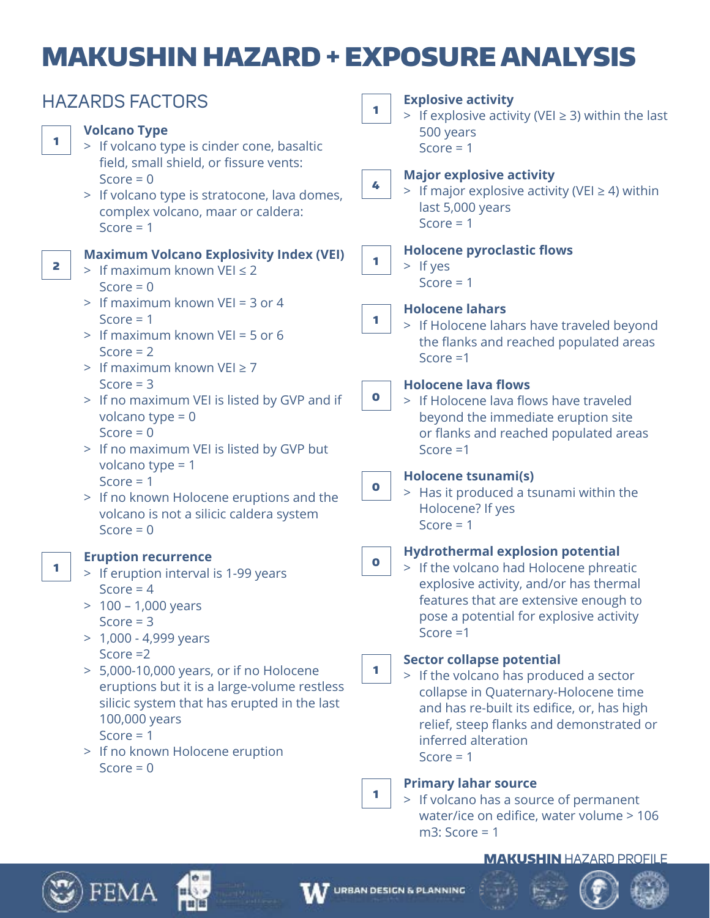# MAKUSHIN HAZARD + EXPOSURE ANALYSIS

| <b>HAZARDS FACTORS</b> |                                                                                                                                                                                                                        | <b>Explosive activity</b><br>1 |                                                                                                                                                                                                                                                    |  |  |
|------------------------|------------------------------------------------------------------------------------------------------------------------------------------------------------------------------------------------------------------------|--------------------------------|----------------------------------------------------------------------------------------------------------------------------------------------------------------------------------------------------------------------------------------------------|--|--|
| 1                      | <b>Volcano Type</b><br>> If volcano type is cinder cone, basaltic<br>field, small shield, or fissure vents:                                                                                                            |                                | > If explosive activity (VEI $\geq$ 3) within the last<br>500 years<br>Score = $1$                                                                                                                                                                 |  |  |
|                        | Score = $0$<br>> If volcano type is stratocone, lava domes,<br>complex volcano, maar or caldera:<br>Score $= 1$                                                                                                        | 4                              | <b>Major explosive activity</b><br>> If major explosive activity (VEI $\geq$ 4) within<br>last 5,000 years<br>Score = $1$                                                                                                                          |  |  |
| 2                      | <b>Maximum Volcano Explosivity Index (VEI)</b><br>> If maximum known VEI $\leq$ 2<br>Score = $0$                                                                                                                       | 1                              | <b>Holocene pyroclastic flows</b><br>$>$ If yes<br>Score $= 1$                                                                                                                                                                                     |  |  |
|                        | > If maximum known VEI = 3 or 4<br>Score = $1$<br>> If maximum known VEI = 5 or 6<br>Score $= 2$<br>> If maximum known VEI $\geq$ 7                                                                                    | 1                              | <b>Holocene lahars</b><br>> If Holocene lahars have traveled beyond<br>the flanks and reached populated areas<br>Score $=1$                                                                                                                        |  |  |
|                        | Score $=$ 3<br>> If no maximum VEI is listed by GVP and if<br>volcano type = $0$<br>Score = $0$<br>> If no maximum VEI is listed by GVP but                                                                            | $\bullet$                      | <b>Holocene lava flows</b><br>> If Holocene lava flows have traveled<br>beyond the immediate eruption site<br>or flanks and reached populated areas<br>Score $=1$                                                                                  |  |  |
|                        | volcano type = $1$<br>Score $= 1$<br>> If no known Holocene eruptions and the<br>volcano is not a silicic caldera system<br>Score = $0$                                                                                | $\bullet$                      | <b>Holocene tsunami(s)</b><br>> Has it produced a tsunami within the<br>Holocene? If yes<br>Score $= 1$                                                                                                                                            |  |  |
| 1                      | <b>Eruption recurrence</b><br>> If eruption interval is 1-99 years<br>Score = $4$<br>$> 100 - 1,000$ years<br>Score $=$ 3<br>$> 1,000 - 4,999$ years                                                                   | $\mathbf 0$                    | <b>Hydrothermal explosion potential</b><br>> If the volcano had Holocene phreatic<br>explosive activity, and/or has thermal<br>features that are extensive enough to<br>pose a potential for explosive activity<br>Score $=1$                      |  |  |
|                        | Score $=2$<br>> 5,000-10,000 years, or if no Holocene<br>eruptions but it is a large-volume restless<br>silicic system that has erupted in the last<br>100,000 years<br>Score $= 1$<br>> If no known Holocene eruption | 1                              | <b>Sector collapse potential</b><br>> If the volcano has produced a sector<br>collapse in Quaternary-Holocene time<br>and has re-built its edifice, or, has high<br>relief, steep flanks and demonstrated or<br>inferred alteration<br>Score $= 1$ |  |  |
|                        | Score = $0$                                                                                                                                                                                                            | 1                              | <b>Primary lahar source</b><br>> If volcano has a source of permanent<br>water/ice on edifice, water volume > 106<br>$m3$ : Score = 1                                                                                                              |  |  |

### MAKUSHIN HAZARD PROFILE







$$
\text{LANNING} \quad \begin{array}{c}\n\vdots \\
\vdots \\
\vdots\n\end{array}
$$



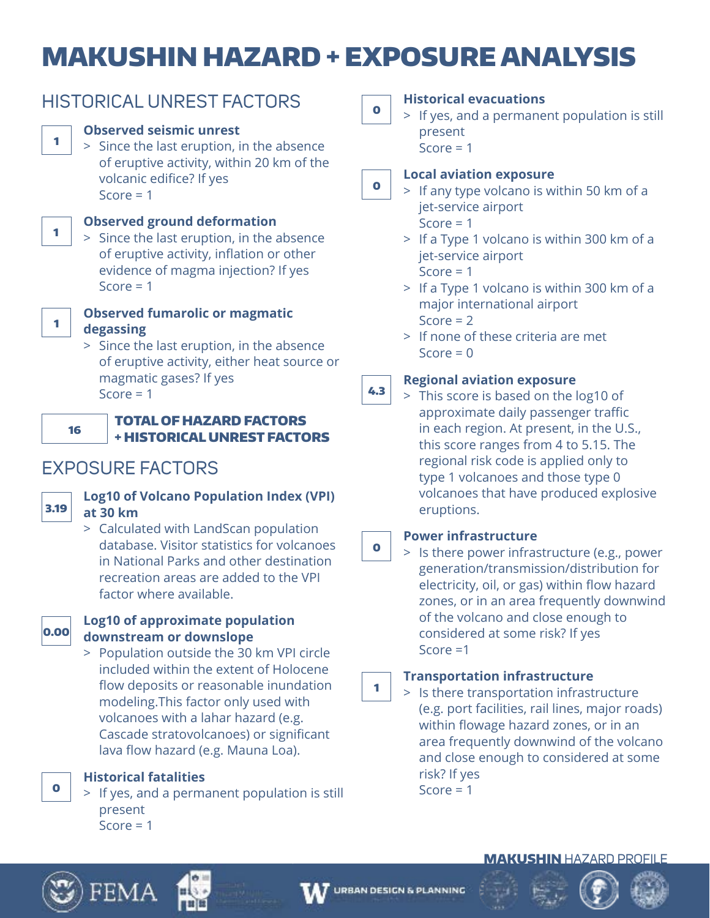# MAKUSHIN HAZARD + EXPOSURE ANALYSIS

|      | <b>Observed seismic unrest</b>                                                  |
|------|---------------------------------------------------------------------------------|
| 1    | > Since the last eruption, in the absence                                       |
|      | of eruptive activity, within 20 km of the                                       |
|      | volcanic edifice? If yes                                                        |
|      | Score $= 1$                                                                     |
|      |                                                                                 |
| 1    | <b>Observed ground deformation</b>                                              |
|      | > Since the last eruption, in the absence                                       |
|      | of eruptive activity, inflation or other<br>evidence of magma injection? If yes |
|      | Score = $1$                                                                     |
|      |                                                                                 |
| 1    | <b>Observed fumarolic or magmatic</b>                                           |
|      | degassing                                                                       |
|      | > Since the last eruption, in the absence                                       |
|      | of eruptive activity, either heat source or                                     |
|      | magmatic gases? If yes<br>Score $= 1$                                           |
|      |                                                                                 |
|      | <b>TOTAL OF HAZARD FACTORS</b><br>16                                            |
|      | <b>+ HISTORICAL UNREST FACTORS</b>                                              |
|      |                                                                                 |
|      | <b>EXPOSURE FACTORS</b>                                                         |
|      | <b>Log10 of Volcano Population Index (VPI)</b>                                  |
| 3.19 | at 30 km                                                                        |
|      | > Calculated with LandScan population                                           |
|      | database. Visitor statistics for volcanoes                                      |
|      | in National Parks and other destination                                         |
|      | recreation areas are added to the VPI                                           |
|      | factor where available.                                                         |
|      |                                                                                 |

HISTORICAL UNREST FACTORS



# **Log10 of approximate population downstream or downslope**

 > Population outside the 30 km VPI circle included within the extent of Holocene flow deposits or reasonable inundation modeling.This factor only used with volcanoes with a lahar hazard (e.g. Cascade stratovolcanoes) or significant lava flow hazard (e.g. Mauna Loa).

**Historical fatalities**

 > If yes, and a permanent population is still present  $Score = 1$ 

0

## **Historical evacuations**

 > If yes, and a permanent population is still present

 $Score = 1$ 

### 0 **Local aviation exposure**

- > If any type volcano is within 50 km of a jet-service airport Score  $= 1$ 
	- > If a Type 1 volcano is within 300 km of a jet-service airport Score  $= 1$
	- > If a Type 1 volcano is within 300 km of a major international airport Score  $= 2$
	- > If none of these criteria are met  $Score = 0$

### 4.3 **Regional aviation exposure**

 > This score is based on the log10 of approximate daily passenger traffic in each region. At present, in the U.S., this score ranges from 4 to 5.15. The regional risk code is applied only to type 1 volcanoes and those type 0 volcanoes that have produced explosive eruptions.

#### 0 **Power infrastructure**

 > Is there power infrastructure (e.g., power generation/transmission/distribution for electricity, oil, or gas) within flow hazard zones, or in an area frequently downwind of the volcano and close enough to considered at some risk? If yes Score =1

#### 1 **Transportation infrastructure**

 > Is there transportation infrastructure (e.g. port facilities, rail lines, major roads) within flowage hazard zones, or in an area frequently downwind of the volcano and close enough to considered at some risk? If yes Score  $= 1$ 

# MAKUSHIN HAZARD PROFILE



0



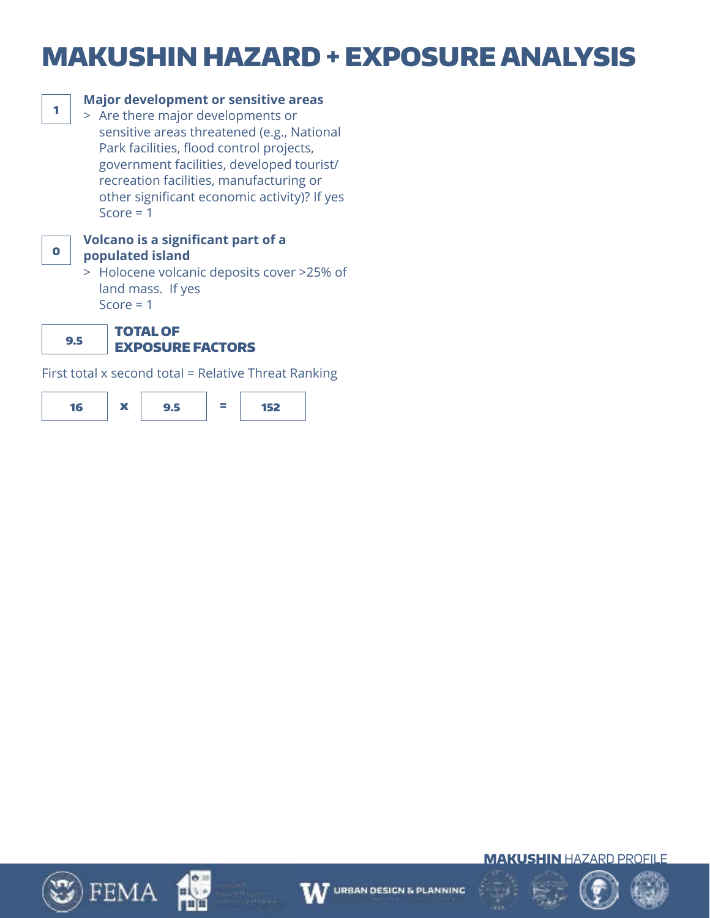# MAKUSHIN HAZARD + EXPOSURE ANALYSIS



# <sup>1</sup> **Major development or sensitive areas**

 > Are there major developments or sensitive areas threatened (e.g., National Park facilities, flood control projects, government facilities, developed tourist/ recreation facilities, manufacturing or other significant economic activity)? If yes Score  $= 1$ 



### **Volcano is a significant part of a populated island**

 > Holocene volcanic deposits cover >25% of land mass. If yes Score  $= 1$ 

9.5 TOTAL OF EXPOSURE FACTORS

First total x second total = Relative Threat Ranking















MAKUSHIN HAZARD PROFILE

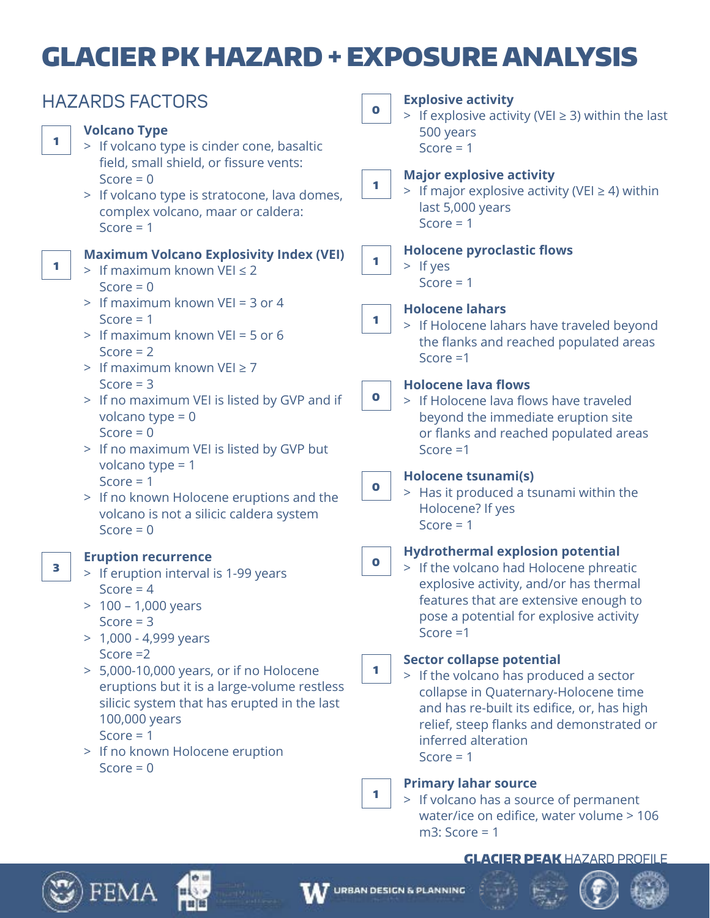# GLACIER PK HAZARD + EXPOSURE ANALYSIS

| <b>HAZARDS FACTORS</b> |                                                                                                                                                                                                                        | <b>Explosive activity</b><br>$\bullet$<br>> If explosive activity (VEI $\geq$ 3) within the last |                                                                                                                                                                                                                                                    |  |  |
|------------------------|------------------------------------------------------------------------------------------------------------------------------------------------------------------------------------------------------------------------|--------------------------------------------------------------------------------------------------|----------------------------------------------------------------------------------------------------------------------------------------------------------------------------------------------------------------------------------------------------|--|--|
| 1                      | <b>Volcano Type</b><br>> If volcano type is cinder cone, basaltic<br>field, small shield, or fissure vents:                                                                                                            |                                                                                                  | 500 years<br>Score = $1$                                                                                                                                                                                                                           |  |  |
|                        | Score = $0$<br>> If volcano type is stratocone, lava domes,<br>complex volcano, maar or caldera:<br>Score $= 1$                                                                                                        | 1.                                                                                               | <b>Major explosive activity</b><br>> If major explosive activity (VEI $\geq$ 4) within<br>last 5,000 years<br>Score $= 1$                                                                                                                          |  |  |
| 1                      | <b>Maximum Volcano Explosivity Index (VEI)</b><br>> If maximum known VEI $\leq$ 2<br>Score = $0$                                                                                                                       | 1                                                                                                | <b>Holocene pyroclastic flows</b><br>$>$ If yes<br>Score $= 1$                                                                                                                                                                                     |  |  |
|                        | > If maximum known VEI = 3 or 4<br>Score $= 1$<br>> If maximum known VEI = 5 or 6<br>Score $= 2$<br>> If maximum known $VEI \ge 7$                                                                                     | 1                                                                                                | <b>Holocene lahars</b><br>> If Holocene lahars have traveled beyond<br>the flanks and reached populated areas<br>Score $=1$                                                                                                                        |  |  |
|                        | Score $=$ 3<br>> If no maximum VEI is listed by GVP and if<br>volcano type = $0$<br>Score = $0$<br>> If no maximum VEI is listed by GVP but                                                                            | $\bullet$                                                                                        | <b>Holocene lava flows</b><br>> If Holocene lava flows have traveled<br>beyond the immediate eruption site<br>or flanks and reached populated areas<br>Score $=1$                                                                                  |  |  |
|                        | volcano type = $1$<br>Score = $1$<br>> If no known Holocene eruptions and the<br>volcano is not a silicic caldera system<br>Score = $0$                                                                                | $\bullet$                                                                                        | Holocene tsunami(s)<br>> Has it produced a tsunami within the<br>Holocene? If yes<br>Score $= 1$                                                                                                                                                   |  |  |
| 3                      | <b>Eruption recurrence</b><br>> If eruption interval is 1-99 years<br>Score = $4$<br>$> 100 - 1,000$ years<br>Score $=$ 3<br>$> 1,000 - 4,999$ years                                                                   | $\bullet$                                                                                        | <b>Hydrothermal explosion potential</b><br>> If the volcano had Holocene phreatic<br>explosive activity, and/or has thermal<br>features that are extensive enough to<br>pose a potential for explosive activity<br>Score $=1$                      |  |  |
|                        | Score $=2$<br>> 5,000-10,000 years, or if no Holocene<br>eruptions but it is a large-volume restless<br>silicic system that has erupted in the last<br>100,000 years<br>Score $= 1$<br>> If no known Holocene eruption | 1                                                                                                | <b>Sector collapse potential</b><br>> If the volcano has produced a sector<br>collapse in Quaternary-Holocene time<br>and has re-built its edifice, or, has high<br>relief, steep flanks and demonstrated or<br>inferred alteration<br>Score $= 1$ |  |  |
|                        | Score = $0$                                                                                                                                                                                                            | 1                                                                                                | <b>Primary lahar source</b><br>> If volcano has a source of permanent<br>water/ice on edifice, water volume > 106<br>$m3$ : Score = 1                                                                                                              |  |  |

### GLACIER PEAK HAZARD PROFILE



 $\mathfrak{D}$ ) FEMA

нί

min

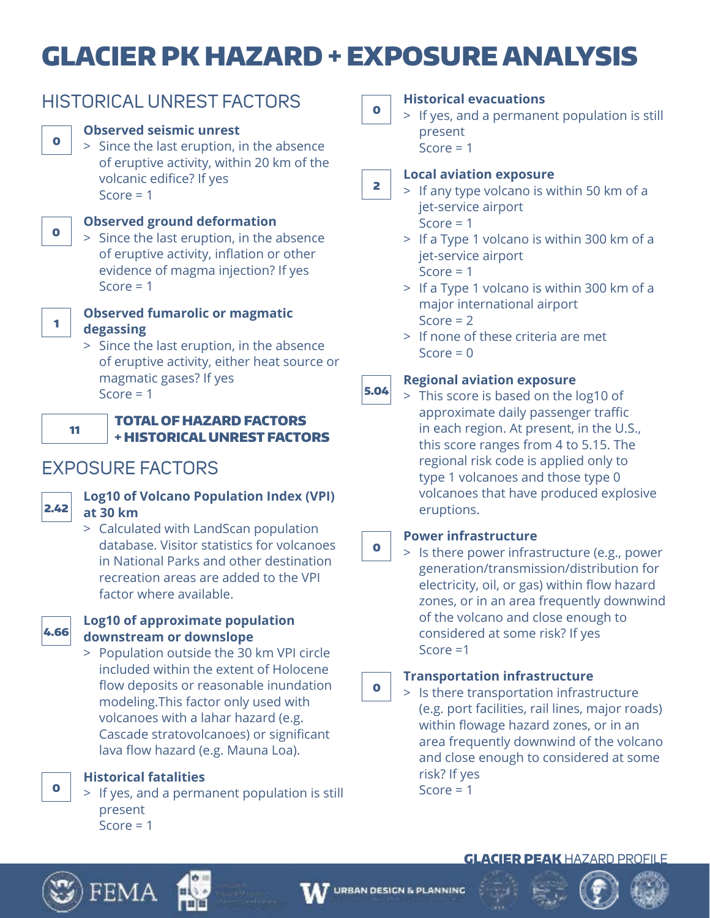# GLACIER PK HAZARD + EXPOSURE ANALYSIS

|    | <b>Observed seismic unrest</b><br>> Since the last eruption, in the absence<br>of eruptive activity, within 20 km of the<br>volcanic edifice? If yes<br>Score $= 1$                                                                                              |
|----|------------------------------------------------------------------------------------------------------------------------------------------------------------------------------------------------------------------------------------------------------------------|
|    | <b>Observed ground deformation</b><br>> Since the last eruption, in the absence<br>of eruptive activity, inflation or other<br>evidence of magma injection? If yes<br>Score $= 1$                                                                                |
|    | <b>Observed fumarolic or magmatic</b><br>degassing<br>> Since the last eruption, in the absence<br>of eruptive activity, either heat source or<br>magmatic gases? If yes<br>Score = $1$                                                                          |
| 11 | <b>TOTAL OF HAZARD FACTORS</b><br><b>+ HISTORICAL UNREST FACTORS</b>                                                                                                                                                                                             |
|    | <b>POSURE FACTORS</b>                                                                                                                                                                                                                                            |
|    | <b>Log10 of Volcano Population Index (VPI)</b><br>at 30 km<br>> Calculated with LandScan population<br>database. Visitor statistics for volcanoes<br>in National Parks and other destination<br>recreation areas are added to the VPI<br>factor where available. |

HISTORICAL UNREST FACTORS



2.42

FXF

 $\bullet$ 

0

1

## **Log10 of approximate population downstream or downslope**

 > Population outside the 30 km VPI circle included within the extent of Holocene flow deposits or reasonable inundation modeling.This factor only used with volcanoes with a lahar hazard (e.g. Cascade stratovolcanoes) or significant lava flow hazard (e.g. Mauna Loa).

**Historical fatalities**

 > If yes, and a permanent population is still present  $Score = 1$ 

 $\bullet$ 

## **Historical evacuations**

 > If yes, and a permanent population is still present  $Score = 1$ 

2 **Local aviation exposure**

- > If any type volcano is within 50 km of a jet-service airport  $Score = 1$ 
	- > If a Type 1 volcano is within 300 km of a jet-service airport  $Score = 1$
	- > If a Type 1 volcano is within 300 km of a major international airport Score  $= 2$
	- > If none of these criteria are met  $Score = 0$

#### 5.04 **Regional aviation exposure**

 > This score is based on the log10 of approximate daily passenger traffic in each region. At present, in the U.S., this score ranges from 4 to 5.15. The regional risk code is applied only to type 1 volcanoes and those type 0 volcanoes that have produced explosive eruptions.

# **Power infrastructure**

 $\bullet$ 

 > Is there power infrastructure (e.g., power generation/transmission/distribution for electricity, oil, or gas) within flow hazard zones, or in an area frequently downwind of the volcano and close enough to considered at some risk? If yes Score =1

#### 0 **Transportation infrastructure**

 > Is there transportation infrastructure (e.g. port facilities, rail lines, major roads) within flowage hazard zones, or in an area frequently downwind of the volcano and close enough to considered at some risk? If yes Score  $= 1$ 

# **GLACIER PEAK HAZARD PROFILE**



0









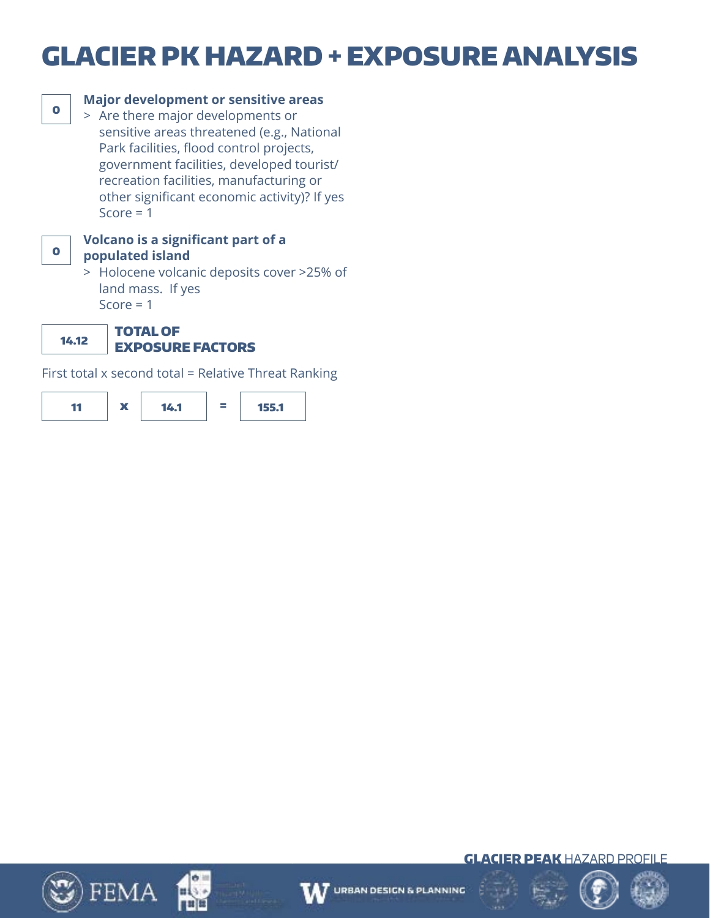# GLACIER PK HAZARD + EXPOSURE ANALYSIS



## **Major development or sensitive areas**

 > Are there major developments or sensitive areas threatened (e.g., National Park facilities, flood control projects, government facilities, developed tourist/ recreation facilities, manufacturing or other significant economic activity)? If yes Score  $= 1$ 



### **Volcano is a significant part of a populated island**

 > Holocene volcanic deposits cover >25% of land mass. If yes Score  $= 1$ 

14.12

### TOTAL OF EXPOSURE FACTORS

First total x second total = Relative Threat Ranking













GLACIER PEAK HAZARD PROFILE

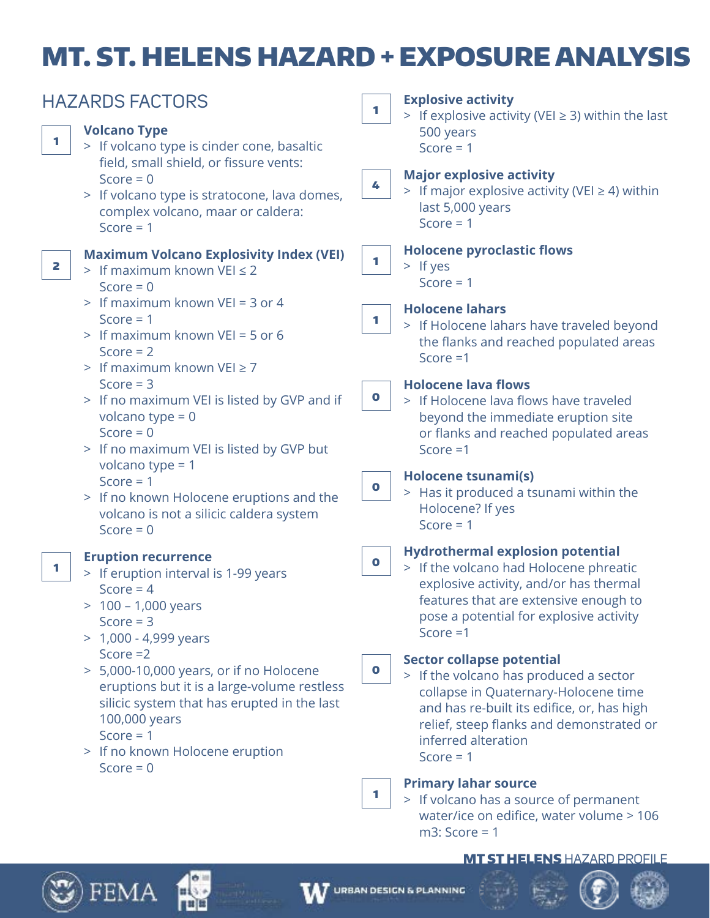# MT. ST. HELENS HAZARD + EXPOSURE ANALYSIS

| 1 | <b>HAZARDS FACTORS</b><br><b>Volcano Type</b><br>> If volcano type is cinder cone, basaltic                                                                                                                            | 1           | <b>Explosive activity</b><br>> If explosive activity (VEI $\geq$ 3) within the last<br>500 years<br>Score = $1$                                                                                                                                    |
|---|------------------------------------------------------------------------------------------------------------------------------------------------------------------------------------------------------------------------|-------------|----------------------------------------------------------------------------------------------------------------------------------------------------------------------------------------------------------------------------------------------------|
|   | field, small shield, or fissure vents:<br>Score = $0$<br>> If volcano type is stratocone, lava domes,<br>complex volcano, maar or caldera:<br>Score = $1$                                                              | 4           | <b>Major explosive activity</b><br>> If major explosive activity (VEI $\geq$ 4) within<br>last 5,000 years<br>Score $= 1$                                                                                                                          |
| 2 | <b>Maximum Volcano Explosivity Index (VEI)</b><br>> If maximum known VEI $\leq$ 2<br>Score = $0$                                                                                                                       | 1           | <b>Holocene pyroclastic flows</b><br>$>$ If yes<br>Score $= 1$                                                                                                                                                                                     |
|   | > If maximum known VEI = 3 or 4<br>Score $= 1$<br>> If maximum known VEI = 5 or 6<br>Score $= 2$<br>> If maximum known VEI $\geq$ 7                                                                                    | 1           | <b>Holocene lahars</b><br>> If Holocene lahars have traveled beyond<br>the flanks and reached populated areas<br>Score $=1$                                                                                                                        |
|   | Score $=$ 3<br>> If no maximum VEI is listed by GVP and if<br>volcano type = $0$<br>Score = $0$<br>> If no maximum VEI is listed by GVP but                                                                            | $\bullet$   | <b>Holocene lava flows</b><br>> If Holocene lava flows have traveled<br>beyond the immediate eruption site<br>or flanks and reached populated areas<br>Score $=1$                                                                                  |
|   | volcano type = $1$<br>Score = $1$<br>> If no known Holocene eruptions and the<br>volcano is not a silicic caldera system<br>Score = $0$                                                                                | $\mathbf 0$ | <b>Holocene tsunami(s)</b><br>> Has it produced a tsunami within the<br>Holocene? If yes<br>Score $= 1$                                                                                                                                            |
| 1 | <b>Eruption recurrence</b><br>> If eruption interval is 1-99 years<br>Score = $4$<br>100 - 1,000 years<br>Score $=$ 3<br>$> 1,000 - 4,999$ years                                                                       | $\bullet$   | <b>Hydrothermal explosion potential</b><br>> If the volcano had Holocene phreatic<br>explosive activity, and/or has thermal<br>features that are extensive enough to<br>pose a potential for explosive activity<br>Score $=1$                      |
|   | Score $=2$<br>> 5,000-10,000 years, or if no Holocene<br>eruptions but it is a large-volume restless<br>silicic system that has erupted in the last<br>100,000 years<br>Score $= 1$<br>> If no known Holocene eruption | $\mathbf 0$ | <b>Sector collapse potential</b><br>> If the volcano has produced a sector<br>collapse in Quaternary-Holocene time<br>and has re-built its edifice, or, has high<br>relief, steep flanks and demonstrated or<br>inferred alteration<br>Score $= 1$ |
|   | Score = $0$                                                                                                                                                                                                            | 1           | <b>Primary lahar source</b><br>> If volcano has a source of permanent<br>water/ice on edifice, water volume > 106<br>$m3$ : Score = 1                                                                                                              |

## **MT ST HELENS HAZARD PROFILE**



 $\mathbb{Z}$ ) FEMA

нί

**Biblio**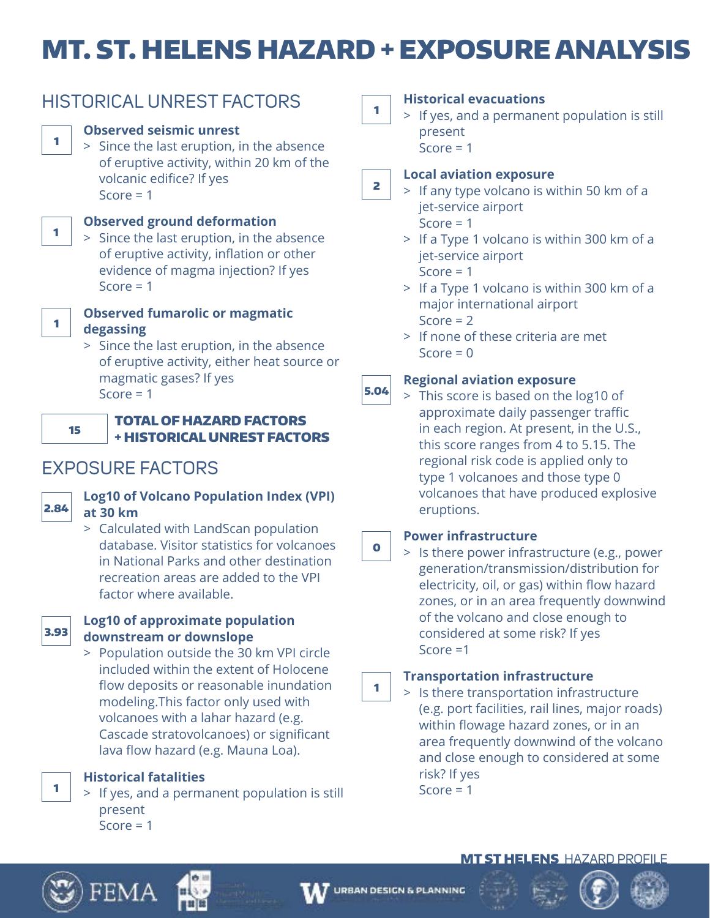# MT. ST. HELENS HAZARD + EXPOSURE ANALYSIS



 > Since the last eruption, in the absence of eruptive activity, either heat source or magmatic gases? If yes Score  $= 1$ 



1

1

1

## TOTAL OF HAZARD FACTORS + HISTORICAL UNREST FACTORS

# EXPOSURE FACTORS



# **Log10 of Volcano Population Index (VPI) at 30 km**

 > Calculated with LandScan population database. Visitor statistics for volcanoes in National Parks and other destination recreation areas are added to the VPI factor where available.



## **Log10 of approximate population downstream or downslope**

 > Population outside the 30 km VPI circle included within the extent of Holocene flow deposits or reasonable inundation modeling.This factor only used with volcanoes with a lahar hazard (e.g. Cascade stratovolcanoes) or significant lava flow hazard (e.g. Mauna Loa).

**Historical fatalities**

 > If yes, and a permanent population is still present  $Score = 1$ 

1

# **Historical evacuations**

 > If yes, and a permanent population is still present

 $Score = 1$ 

### **Local aviation exposure** 2

 > If any type volcano is within 50 km of a jet-service airport Score  $= 1$ 

 > If a Type 1 volcano is within 300 km of a jet-service airport

Score  $= 1$ 

- > If a Type 1 volcano is within 300 km of a major international airport Score  $= 2$
- > If none of these criteria are met  $Score = 0$

### **Regional aviation exposure** 5.04

 > This score is based on the log10 of approximate daily passenger traffic in each region. At present, in the U.S., this score ranges from 4 to 5.15. The regional risk code is applied only to type 1 volcanoes and those type 0 volcanoes that have produced explosive eruptions.

#### **Power infrastructure** 0

 > Is there power infrastructure (e.g., power generation/transmission/distribution for electricity, oil, or gas) within flow hazard zones, or in an area frequently downwind of the volcano and close enough to considered at some risk? If yes Score =1

### **Transportation infrastructure** 1

 > Is there transportation infrastructure (e.g. port facilities, rail lines, major roads) within flowage hazard zones, or in an area frequently downwind of the volcano and close enough to considered at some risk? If yes Score  $= 1$ 

# MT ST HELENSHAZARD PROFILE



1



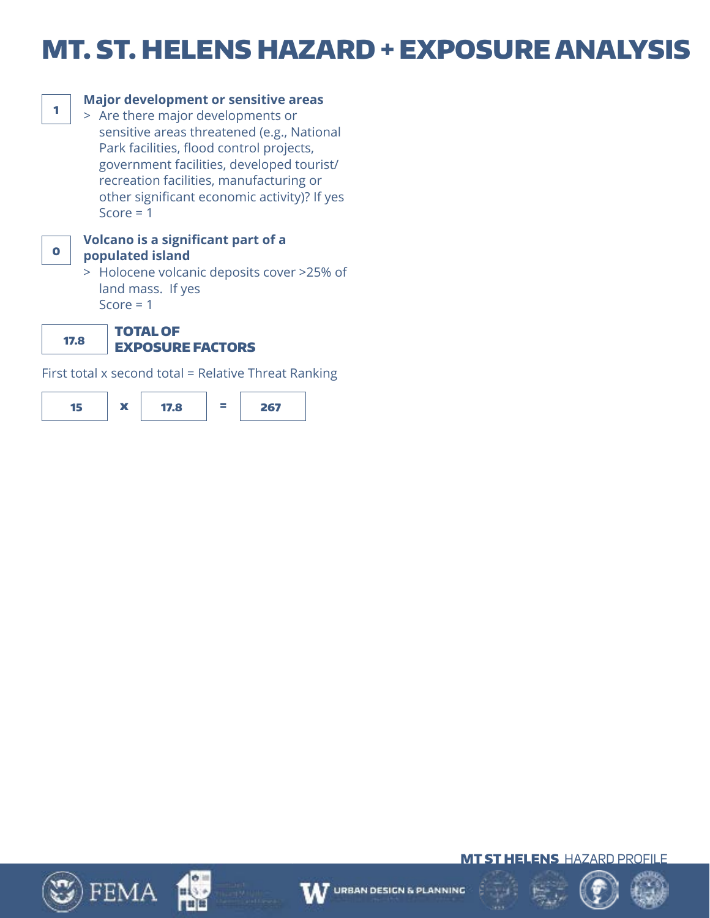# MT. ST. HELENS HAZARD + EXPOSURE ANALYSIS



## **Major development or sensitive areas**

 > Are there major developments or sensitive areas threatened (e.g., National Park facilities, flood control projects, government facilities, developed tourist/ recreation facilities, manufacturing or other significant economic activity)? If yes Score  $= 1$ 



### **Volcano is a significant part of a populated island**

 > Holocene volcanic deposits cover >25% of land mass. If yes Score  $= 1$ 

TOTAL OF 17.8

# EXPOSURE FACTORS

First total x second total = Relative Threat Ranking









$$
\hat{\xi}=\hat{\hat{\beta}}
$$



MT ST HELENSHAZARD PROFILE

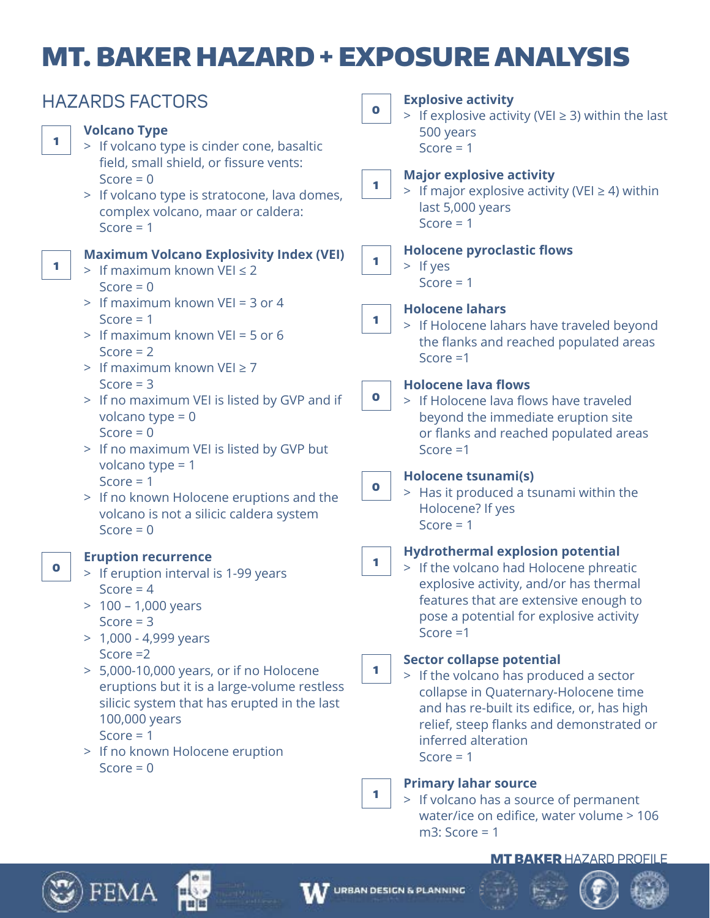# MT. BAKER HAZARD + EXPOSURE ANALYSIS

| <b>HAZARDS FACTORS</b>                                                                                                                                                                                                                                                                                                 | <b>Explosive activity</b><br>$\bullet$<br>> If explosive activity (VEI $\geq$ 3) within the last                                                                                                                                                                                                                                                              |
|------------------------------------------------------------------------------------------------------------------------------------------------------------------------------------------------------------------------------------------------------------------------------------------------------------------------|---------------------------------------------------------------------------------------------------------------------------------------------------------------------------------------------------------------------------------------------------------------------------------------------------------------------------------------------------------------|
| <b>Volcano Type</b><br>1<br>> If volcano type is cinder cone, basaltic<br>field, small shield, or fissure vents:                                                                                                                                                                                                       | 500 years<br>Score = $1$                                                                                                                                                                                                                                                                                                                                      |
| Score = $0$<br>> If volcano type is stratocone, lava domes,<br>complex volcano, maar or caldera:<br>Score $= 1$                                                                                                                                                                                                        | <b>Major explosive activity</b><br>1<br>> If major explosive activity (VEI $\geq$ 4) within<br>last 5,000 years<br>Score = $1$                                                                                                                                                                                                                                |
| <b>Maximum Volcano Explosivity Index (VEI)</b><br>1<br>> If maximum known VEI $\leq$ 2<br>Score = $0$                                                                                                                                                                                                                  | <b>Holocene pyroclastic flows</b><br>1<br>$>$ If yes<br>Score $= 1$                                                                                                                                                                                                                                                                                           |
| > If maximum known VEI = 3 or 4<br>Score $= 1$<br>> If maximum known VEI = 5 or 6<br>Score $= 2$<br>> If maximum known $VEI \ge 7$                                                                                                                                                                                     | <b>Holocene lahars</b><br>1<br>> If Holocene lahars have traveled beyond<br>the flanks and reached populated areas<br>Score $=1$                                                                                                                                                                                                                              |
| Score $=$ 3<br>> If no maximum VEI is listed by GVP and if<br>volcano type = $0$<br>Score = $0$<br>> If no maximum VEI is listed by GVP but                                                                                                                                                                            | <b>Holocene lava flows</b><br>$\bullet$<br>> If Holocene lava flows have traveled<br>beyond the immediate eruption site<br>or flanks and reached populated areas<br>Score $=1$                                                                                                                                                                                |
| volcano type = $1$<br>Score $= 1$<br>> If no known Holocene eruptions and the<br>volcano is not a silicic caldera system<br>Score = $0$                                                                                                                                                                                | Holocene tsunami(s)<br>$\bullet$<br>> Has it produced a tsunami within the<br>Holocene? If yes<br>Score $= 1$                                                                                                                                                                                                                                                 |
| <b>Eruption recurrence</b><br>$\bullet$<br>> If eruption interval is 1-99 years<br>Score = $4$<br>$100 - 1,000$ years<br>Score $=$ 3<br>$> 1,000 - 4,999$ years<br>Score $=2$<br>> 5,000-10,000 years, or if no Holocene<br>eruptions but it is a large-volume restless<br>silicic system that has erupted in the last | <b>Hydrothermal explosion potential</b><br>1<br>> If the volcano had Holocene phreatic<br>explosive activity, and/or has thermal<br>features that are extensive enough to<br>pose a potential for explosive activity<br>Score $=1$<br><b>Sector collapse potential</b><br>1<br>> If the volcano has produced a sector<br>collapse in Quaternary-Holocene time |
| 100,000 years<br>Score $= 1$<br>> If no known Holocene eruption<br>$Score = 0$                                                                                                                                                                                                                                         | and has re-built its edifice, or, has high<br>relief, steep flanks and demonstrated or<br>inferred alteration<br>Score $= 1$<br><b>Primary lahar source</b><br>1<br>> If volcano has a source of permanent<br>water/ice on edifice, water volume > 106                                                                                                        |

## MT BAKER HAZARD PROFILE



 $\mathfrak{Y}$ ) FEMA

нί

mia

m3: Score = 1

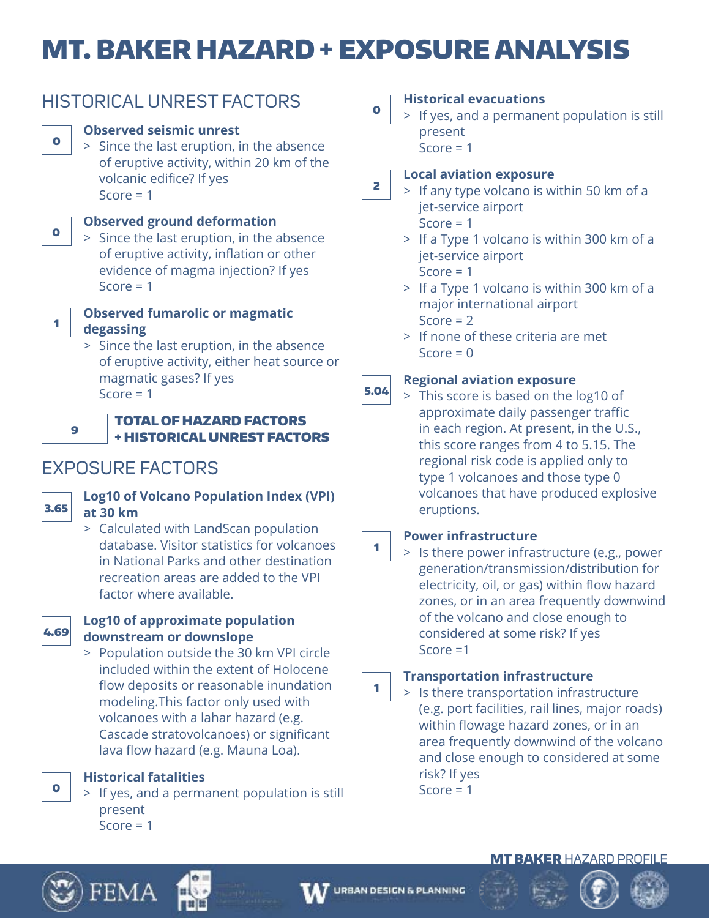# MT. BAKER HAZARD + EXPOSURE ANALYSIS

|--|--|--|

# HISTORICAL UNREST FACTORS

# **Observed seismic unrest**

 > Since the last eruption, in the absence of eruptive activity, within 20 km of the volcanic edifice? If yes Score  $= 1$ 



# **Observed ground deformation**

 > Since the last eruption, in the absence of eruptive activity, inflation or other evidence of magma injection? If yes Score  $= 1$ 



# **Observed fumarolic or magmatic degassing**

 > Since the last eruption, in the absence of eruptive activity, either heat source or magmatic gases? If yes Score  $= 1$ 



## TOTAL OF HAZARD FACTORS + HISTORICAL UNREST FACTORS

# EXPOSURE FACTORS



# **Log10 of Volcano Population Index (VPI) at 30 km**

 > Calculated with LandScan population database. Visitor statistics for volcanoes in National Parks and other destination recreation areas are added to the VPI factor where available.



## **Log10 of approximate population downstream or downslope**

 > Population outside the 30 km VPI circle included within the extent of Holocene flow deposits or reasonable inundation modeling.This factor only used with volcanoes with a lahar hazard (e.g. Cascade stratovolcanoes) or significant lava flow hazard (e.g. Mauna Loa).

**Historical fatalities**

 > If yes, and a permanent population is still present  $Score = 1$ 

0

# **Historical evacuations**

 > If yes, and a permanent population is still present  $Score = 1$ 

### 2 **Local aviation exposure**

 > If any type volcano is within 50 km of a jet-service airport Score  $= 1$ 

- > If a Type 1 volcano is within 300 km of a jet-service airport Score  $= 1$
- > If a Type 1 volcano is within 300 km of a major international airport Score  $= 2$
- > If none of these criteria are met  $Score = 0$

### 5.04 **Regional aviation exposure**

 > This score is based on the log10 of approximate daily passenger traffic in each region. At present, in the U.S., this score ranges from 4 to 5.15. The regional risk code is applied only to type 1 volcanoes and those type 0 volcanoes that have produced explosive eruptions.

# **Power infrastructure**

1

 > Is there power infrastructure (e.g., power generation/transmission/distribution for electricity, oil, or gas) within flow hazard zones, or in an area frequently downwind of the volcano and close enough to considered at some risk? If yes Score =1

### 1 **Transportation infrastructure**

 > Is there transportation infrastructure (e.g. port facilities, rail lines, major roads) within flowage hazard zones, or in an area frequently downwind of the volcano and close enough to considered at some risk? If yes Score  $= 1$ 



0





**MT BAKER HAZARD PROFILE** 

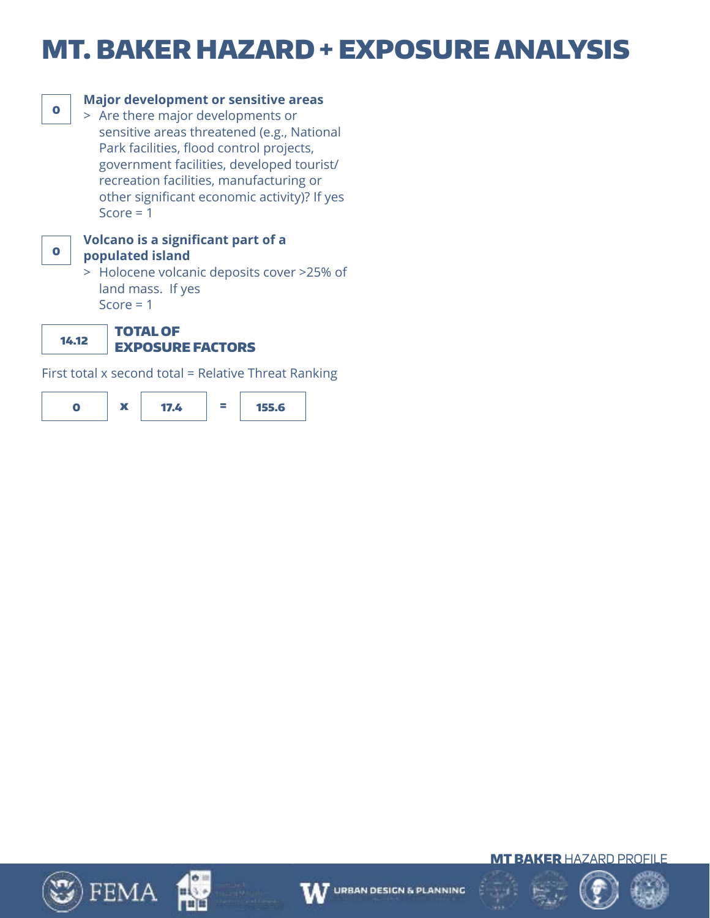# MT. BAKER HAZARD + EXPOSURE ANALYSIS



# **Major development or sensitive areas**

 > Are there major developments or sensitive areas threatened (e.g., National Park facilities, flood control projects, government facilities, developed tourist/ recreation facilities, manufacturing or other significant economic activity)? If yes Score  $= 1$ 



### **Volcano is a significant part of a populated island**

 > Holocene volcanic deposits cover >25% of land mass. If yes Score  $= 1$ 

14.12

### TOTAL OF EXPOSURE FACTORS

First total x second total = Relative Threat Ranking











# **URBAN DESIGN & PLANNING**





**MT BAKER HAZARD PROFILE** 

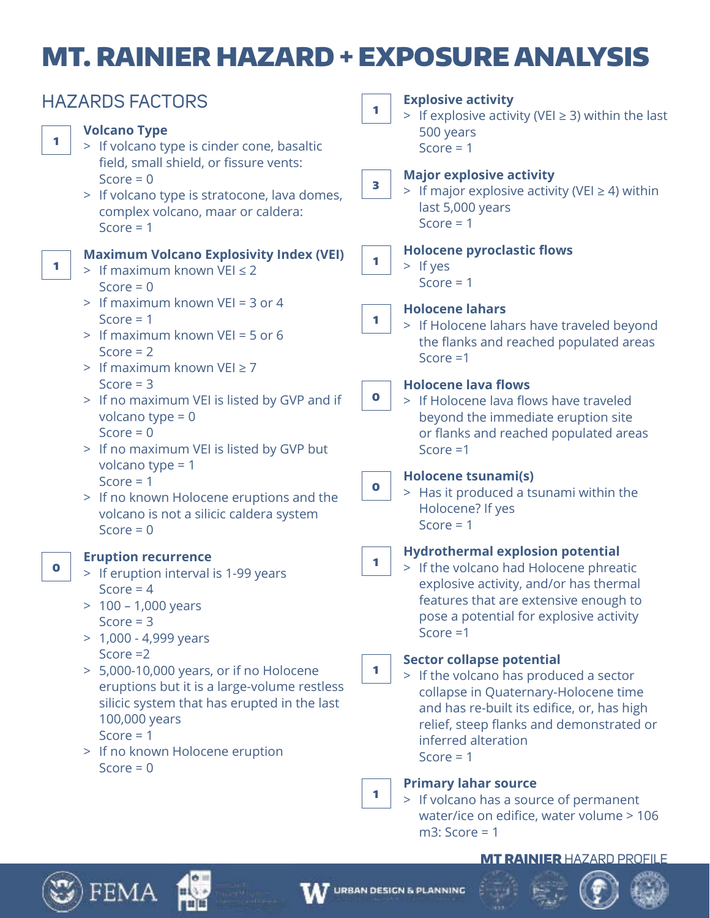# MT. RAINIER HAZARD + EXPOSURE ANALYSIS

|             | <b>HAZARDS FACTORS</b>                                                                                                                                                                                                                                                                                                                                                     | <b>Explosive activity</b><br>1                                                                                                                                                                                                                                                                                                                                                                                                                                                 |                                                        |  |  |
|-------------|----------------------------------------------------------------------------------------------------------------------------------------------------------------------------------------------------------------------------------------------------------------------------------------------------------------------------------------------------------------------------|--------------------------------------------------------------------------------------------------------------------------------------------------------------------------------------------------------------------------------------------------------------------------------------------------------------------------------------------------------------------------------------------------------------------------------------------------------------------------------|--------------------------------------------------------|--|--|
| 1           | <b>Volcano Type</b><br>> If volcano type is cinder cone, basaltic                                                                                                                                                                                                                                                                                                          | 500 years<br>Score = $1$                                                                                                                                                                                                                                                                                                                                                                                                                                                       | > If explosive activity (VEI $\geq$ 3) within the last |  |  |
|             | field, small shield, or fissure vents:<br>Score = $0$<br>> If volcano type is stratocone, lava domes,<br>complex volcano, maar or caldera:<br>Score = $1$                                                                                                                                                                                                                  | <b>Major explosive activity</b><br>3<br>> If major explosive activity (VEI $\geq$ 4) within<br>last 5,000 years<br>Score = $1$                                                                                                                                                                                                                                                                                                                                                 |                                                        |  |  |
| 1           | <b>Maximum Volcano Explosivity Index (VEI)</b><br>> If maximum known VEI $\leq$ 2<br>Score = $0$                                                                                                                                                                                                                                                                           | <b>Holocene pyroclastic flows</b><br>1<br>$>$ If yes<br>Score $= 1$                                                                                                                                                                                                                                                                                                                                                                                                            |                                                        |  |  |
|             | > If maximum known VEI = 3 or 4<br>Score $= 1$<br>> If maximum known VEI = 5 or 6<br>Score $= 2$<br>> If maximum known $VEI \ge 7$                                                                                                                                                                                                                                         | <b>Holocene lahars</b><br>1<br>> If Holocene lahars have traveled beyond<br>the flanks and reached populated areas<br>Score $=1$                                                                                                                                                                                                                                                                                                                                               |                                                        |  |  |
|             | Score $=$ 3<br>> If no maximum VEI is listed by GVP and if<br>volcano type = $0$<br>Score = $0$<br>> If no maximum VEI is listed by GVP but                                                                                                                                                                                                                                | <b>Holocene lava flows</b><br>$\bullet$<br>> If Holocene lava flows have traveled<br>beyond the immediate eruption site<br>or flanks and reached populated areas<br>Score $=1$                                                                                                                                                                                                                                                                                                 |                                                        |  |  |
|             | volcano type = $1$<br>Score = $1$<br>> If no known Holocene eruptions and the<br>volcano is not a silicic caldera system<br>Score = $0$                                                                                                                                                                                                                                    | Holocene tsunami(s)<br>$\bullet$<br>> Has it produced a tsunami within the<br>Holocene? If yes<br>Score = $1$                                                                                                                                                                                                                                                                                                                                                                  |                                                        |  |  |
| $\mathbf 0$ | <b>Eruption recurrence</b><br>> If eruption interval is 1-99 years<br>Score = $4$<br>100 - 1,000 years<br>Score $=$ 3<br>$> 1,000 - 4,999$ years<br>Score $=2$<br>> 5,000-10,000 years, or if no Holocene<br>eruptions but it is a large-volume restless<br>silicic system that has erupted in the last<br>100,000 years<br>Score = $1$<br>> If no known Holocene eruption | <b>Hydrothermal explosion potential</b><br>1<br>> If the volcano had Holocene phreatic<br>explosive activity, and/or has thermal<br>features that are extensive enough to<br>pose a potential for explosive activity<br>Score $=1$<br><b>Sector collapse potential</b><br>1<br>> If the volcano has produced a sector<br>collapse in Quaternary-Holocene time<br>and has re-built its edifice, or, has high<br>relief, steep flanks and demonstrated or<br>inferred alteration |                                                        |  |  |
|             | Score = $0$                                                                                                                                                                                                                                                                                                                                                                | Score = $1$<br><b>Primary lahar source</b><br>1.<br>> If volcano has a source of permanent<br>water/ice on edifice, water volume > 106<br>$m3$ : Score = 1                                                                                                                                                                                                                                                                                                                     |                                                        |  |  |

### MT RAINIER HAZARD PROFILE



 $\mathfrak{D}$ ) FEMA

нί

min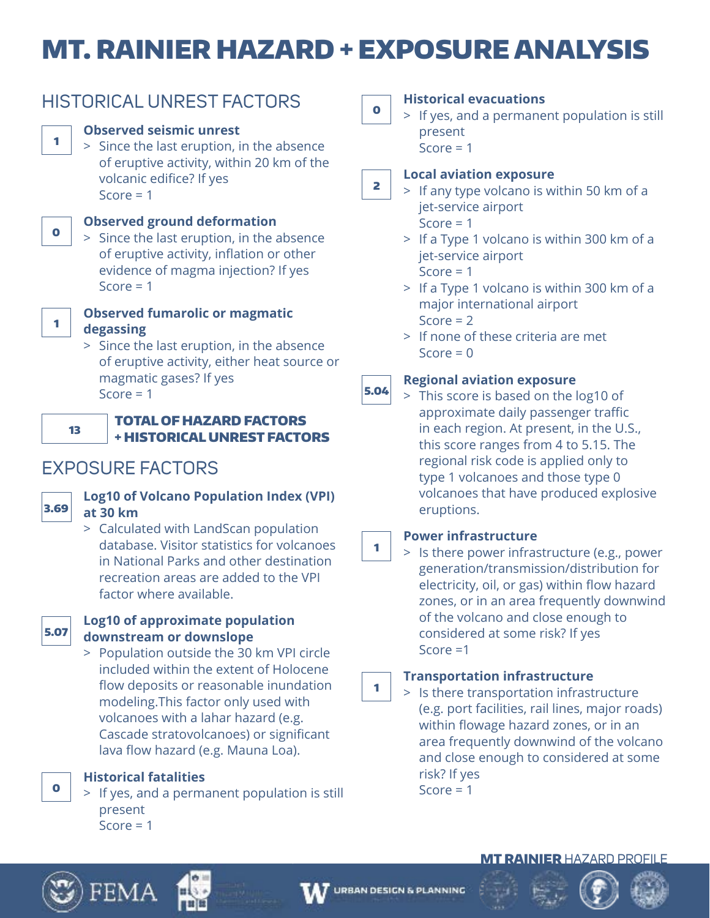# MT. RAINIER HAZARD + EXPOSURE ANALYSIS



# HISTORICAL UNREST FACTORS

# **Observed seismic unrest**

 > Since the last eruption, in the absence of eruptive activity, within 20 km of the volcanic edifice? If yes Score  $= 1$ 



# **Observed ground deformation**

 > Since the last eruption, in the absence of eruptive activity, inflation or other evidence of magma injection? If yes Score  $= 1$ 



# **Observed fumarolic or magmatic degassing**

 > Since the last eruption, in the absence of eruptive activity, either heat source or magmatic gases? If yes Score  $= 1$ 



## TOTAL OF HAZARD FACTORS + HISTORICAL UNREST FACTORS

# EXPOSURE FACTORS



# **Log10 of Volcano Population Index (VPI) at 30 km**

 > Calculated with LandScan population database. Visitor statistics for volcanoes in National Parks and other destination recreation areas are added to the VPI factor where available.



# **Log10 of approximate population downstream or downslope**

 > Population outside the 30 km VPI circle included within the extent of Holocene flow deposits or reasonable inundation modeling.This factor only used with volcanoes with a lahar hazard (e.g. Cascade stratovolcanoes) or significant lava flow hazard (e.g. Mauna Loa).

**Historical fatalities**

 > If yes, and a permanent population is still present  $Score = 1$ 

0

# **Historical evacuations**

 > If yes, and a permanent population is still present  $Score = 1$ 

### 2 **Local aviation exposure**

 > If any type volcano is within 50 km of a jet-service airport Score  $= 1$ 

- > If a Type 1 volcano is within 300 km of a jet-service airport Score  $= 1$
- > If a Type 1 volcano is within 300 km of a major international airport Score  $= 2$
- > If none of these criteria are met  $Score = 0$

### 5.04 **Regional aviation exposure**

 > This score is based on the log10 of approximate daily passenger traffic in each region. At present, in the U.S., this score ranges from 4 to 5.15. The regional risk code is applied only to type 1 volcanoes and those type 0 volcanoes that have produced explosive eruptions.

# **Power infrastructure**

1

 > Is there power infrastructure (e.g., power generation/transmission/distribution for electricity, oil, or gas) within flow hazard zones, or in an area frequently downwind of the volcano and close enough to considered at some risk? If yes Score =1

### 1 **Transportation infrastructure**

 > Is there transportation infrastructure (e.g. port facilities, rail lines, major roads) within flowage hazard zones, or in an area frequently downwind of the volcano and close enough to considered at some risk? If yes Score  $= 1$ 



0





# MT RAINIER HAZARD PROFILE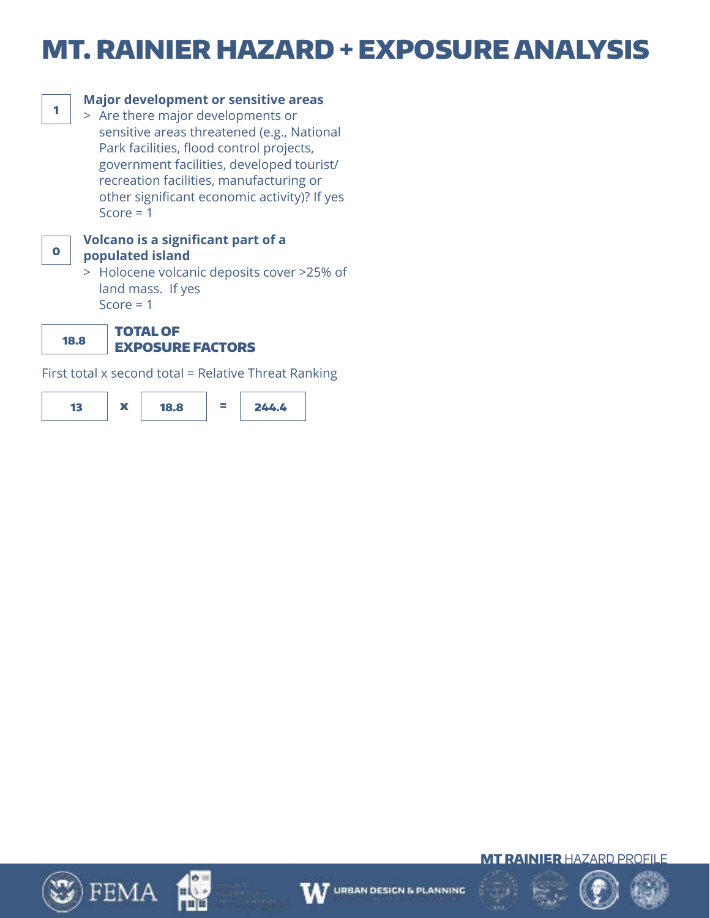# MT. RAINIER HAZARD + EXPOSURE ANALYSIS



# **Major development or sensitive areas**

 > Are there major developments or sensitive areas threatened (e.g., National Park facilities, flood control projects, government facilities, developed tourist/ recreation facilities, manufacturing or other significant economic activity)? If yes Score  $= 1$ 



### **Volcano is a significant part of a populated island**

 > Holocene volcanic deposits cover >25% of land mass. If yes Score  $= 1$ 

18.8 TOTAL OF

# EXPOSURE FACTORS

First total x second total = Relative Threat Ranking













MT RAINIER HAZARD PROFILE

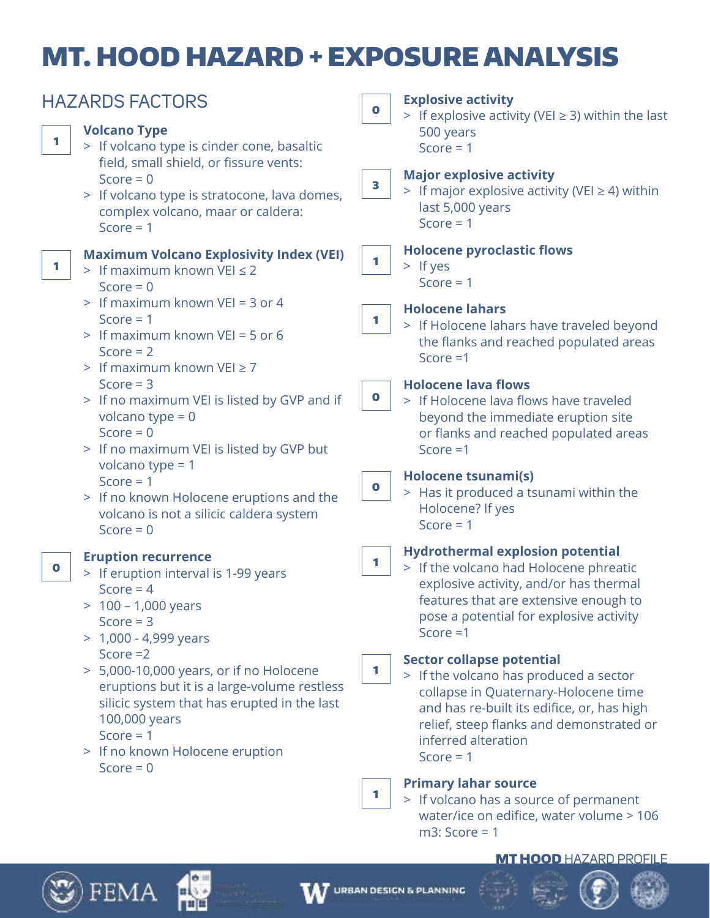# MT. HOOD HAZARD + EXPOSURE ANALYSIS

|           | <b>HAZARDS FACTORS</b>                                                                                                                                                                                                 | $\bullet$   | <b>Explosive activity</b><br>> If explosive activity (VEI $\geq$ 3) within the last                                                                                                                                                                |
|-----------|------------------------------------------------------------------------------------------------------------------------------------------------------------------------------------------------------------------------|-------------|----------------------------------------------------------------------------------------------------------------------------------------------------------------------------------------------------------------------------------------------------|
| 1         | <b>Volcano Type</b><br>> If volcano type is cinder cone, basaltic                                                                                                                                                      |             | 500 years<br>Score = $1$                                                                                                                                                                                                                           |
|           | field, small shield, or fissure vents:<br>Score = $0$<br>> If volcano type is stratocone, lava domes,<br>complex volcano, maar or caldera:<br>Score = $1$                                                              | 3           | <b>Major explosive activity</b><br>> If major explosive activity (VEI $\geq$ 4) within<br>last 5,000 years<br>Score = $1$                                                                                                                          |
| 1         | <b>Maximum Volcano Explosivity Index (VEI)</b><br>> If maximum known VEI $\leq$ 2<br>Score = $0$                                                                                                                       | 1           | <b>Holocene pyroclastic flows</b><br>$>$ If yes<br>Score $= 1$                                                                                                                                                                                     |
|           | > If maximum known VEI = 3 or 4<br>Score $= 1$<br>> If maximum known VEI = 5 or 6<br>Score $= 2$<br>> If maximum known $VEI \ge 7$                                                                                     | 1           | <b>Holocene lahars</b><br>> If Holocene lahars have traveled beyond<br>the flanks and reached populated areas<br>Score $=1$                                                                                                                        |
|           | Score $=$ 3<br>> If no maximum VEI is listed by GVP and if<br>volcano type = $0$<br>Score = $0$<br>> If no maximum VEI is listed by GVP but                                                                            | $\mathbf 0$ | <b>Holocene lava flows</b><br>> If Holocene lava flows have traveled<br>beyond the immediate eruption site<br>or flanks and reached populated areas<br>Score $=1$                                                                                  |
|           | volcano type = $1$<br>Score = $1$<br>> If no known Holocene eruptions and the<br>volcano is not a silicic caldera system<br>Score = $0$                                                                                | $\bullet$   | <b>Holocene tsunami(s)</b><br>> Has it produced a tsunami within the<br>Holocene? If yes<br>Score = $1$                                                                                                                                            |
| $\bullet$ | <b>Eruption recurrence</b><br>> If eruption interval is 1-99 years<br>Score = $4$<br>100 – 1,000 years<br>Score $=$ 3<br>$> 1,000 - 4,999$ years                                                                       | 1           | <b>Hydrothermal explosion potential</b><br>> If the volcano had Holocene phreatic<br>explosive activity, and/or has thermal<br>features that are extensive enough to<br>pose a potential for explosive activity<br>Score $=1$                      |
|           | Score $=2$<br>> 5,000-10,000 years, or if no Holocene<br>eruptions but it is a large-volume restless<br>silicic system that has erupted in the last<br>100,000 years<br>Score $= 1$<br>> If no known Holocene eruption | 1           | <b>Sector collapse potential</b><br>> If the volcano has produced a sector<br>collapse in Quaternary-Holocene time<br>and has re-built its edifice, or, has high<br>relief, steep flanks and demonstrated or<br>inferred alteration<br>Score $= 1$ |
|           | Score = $0$                                                                                                                                                                                                            | 1           | <b>Primary lahar source</b><br>> If volcano has a source of permanent<br>water/ice on edifice, water volume > 106                                                                                                                                  |

### MT HOOD HAZARD PROFILE



 $\mathfrak{Y}$ ) FEMA

# W

m3: Score = 1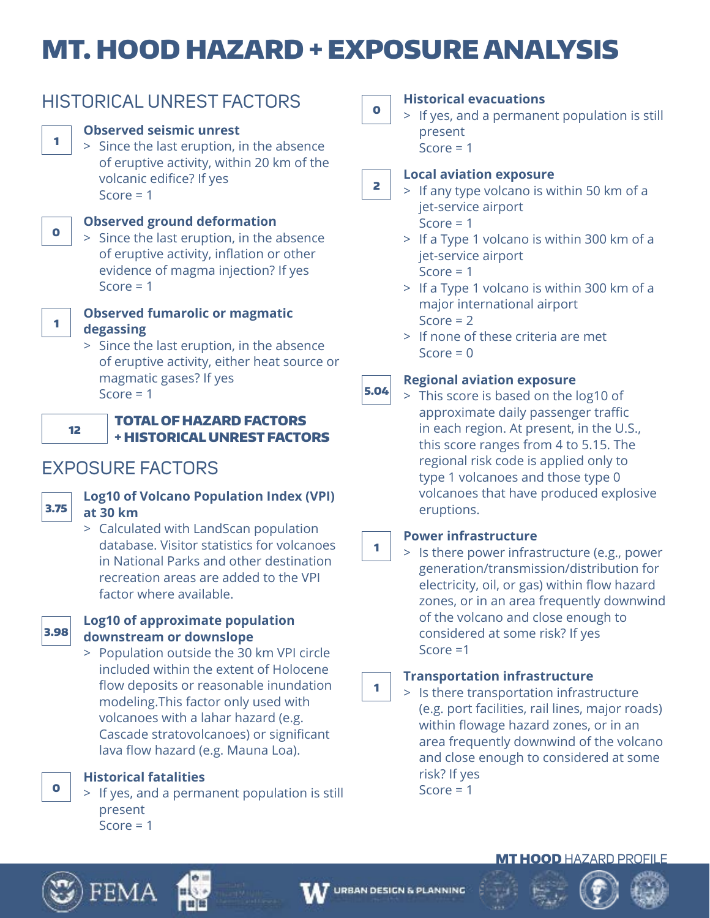# MT. HOOD HAZARD + EXPOSURE ANALYSIS

# HISTORICAL UNREST FACTORS

# **Observed seismic unrest**

 > Since the last eruption, in the absence of eruptive activity, within 20 km of the volcanic edifice? If yes Score  $= 1$ 



# **Observed ground deformation**

 > Since the last eruption, in the absence of eruptive activity, inflation or other evidence of magma injection? If yes Score  $= 1$ 



## **Observed fumarolic or magmatic degassing**

 > Since the last eruption, in the absence of eruptive activity, either heat source or magmatic gases? If yes Score  $= 1$ 



## TOTAL OF HAZARD FACTORS + HISTORICAL UNREST FACTORS

# EXPOSURE FACTORS



# **Log10 of Volcano Population Index (VPI) at 30 km**

 > Calculated with LandScan population database. Visitor statistics for volcanoes in National Parks and other destination recreation areas are added to the VPI factor where available.



## **Log10 of approximate population downstream or downslope**

 > Population outside the 30 km VPI circle included within the extent of Holocene flow deposits or reasonable inundation modeling.This factor only used with volcanoes with a lahar hazard (e.g. Cascade stratovolcanoes) or significant lava flow hazard (e.g. Mauna Loa).

**Historical fatalities**

 > If yes, and a permanent population is still present  $Score = 1$ 

 $\bullet$ 

# **Historical evacuations**

 > If yes, and a permanent population is still present  $Score = 1$ 

### 2 **Local aviation exposure**

 > If any type volcano is within 50 km of a jet-service airport Score  $= 1$ 

> If a Type 1 volcano is within 300 km of a

jet-service airport Score  $= 1$ 

 > If a Type 1 volcano is within 300 km of a major international airport Score  $= 2$ 

 > If none of these criteria are met  $Score = 0$ 

### 5.04 **Regional aviation exposure**

 > This score is based on the log10 of approximate daily passenger traffic in each region. At present, in the U.S., this score ranges from 4 to 5.15. The regional risk code is applied only to type 1 volcanoes and those type 0 volcanoes that have produced explosive eruptions.

# **Power infrastructure**

1

 > Is there power infrastructure (e.g., power generation/transmission/distribution for electricity, oil, or gas) within flow hazard zones, or in an area frequently downwind of the volcano and close enough to considered at some risk? If yes Score =1

### 1 **Transportation infrastructure**

 > Is there transportation infrastructure (e.g. port facilities, rail lines, major roads) within flowage hazard zones, or in an area frequently downwind of the volcano and close enough to considered at some risk? If yes Score  $= 1$ 

# **MT HOOD HAZARD PROFILE**



0



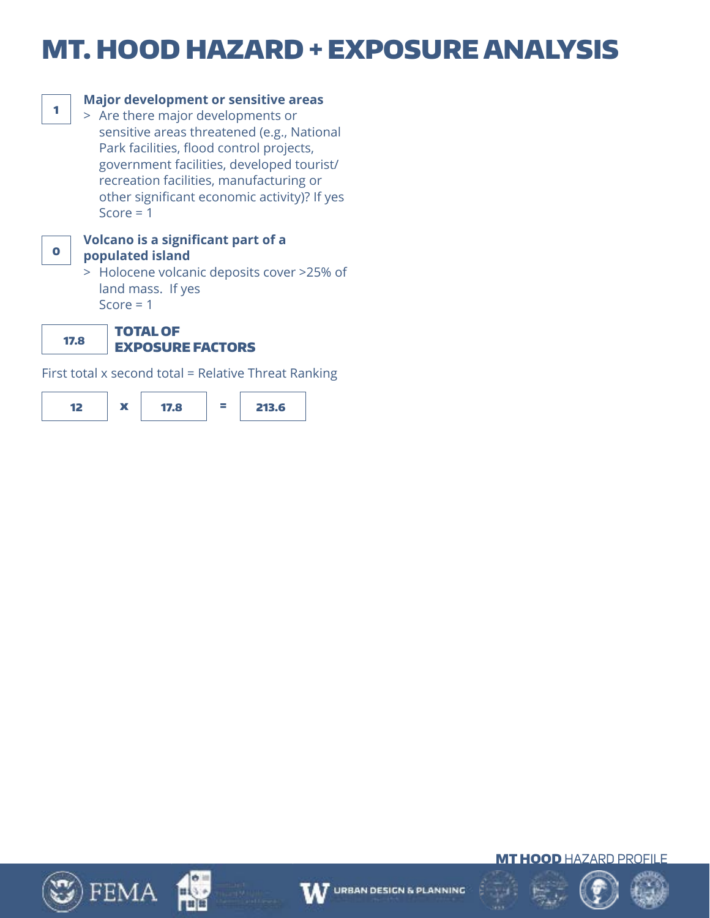# MT. HOOD HAZARD + EXPOSURE ANALYSIS



# **Major development or sensitive areas**

 > Are there major developments or sensitive areas threatened (e.g., National Park facilities, flood control projects, government facilities, developed tourist/ recreation facilities, manufacturing or other significant economic activity)? If yes Score  $= 1$ 



### **Volcano is a significant part of a populated island**

 > Holocene volcanic deposits cover >25% of land mass. If yes Score  $= 1$ 

17.8 TOTAL OF

# EXPOSURE FACTORS

First total x second total = Relative Threat Ranking













**MT HOOD HAZARD PROFILE** 

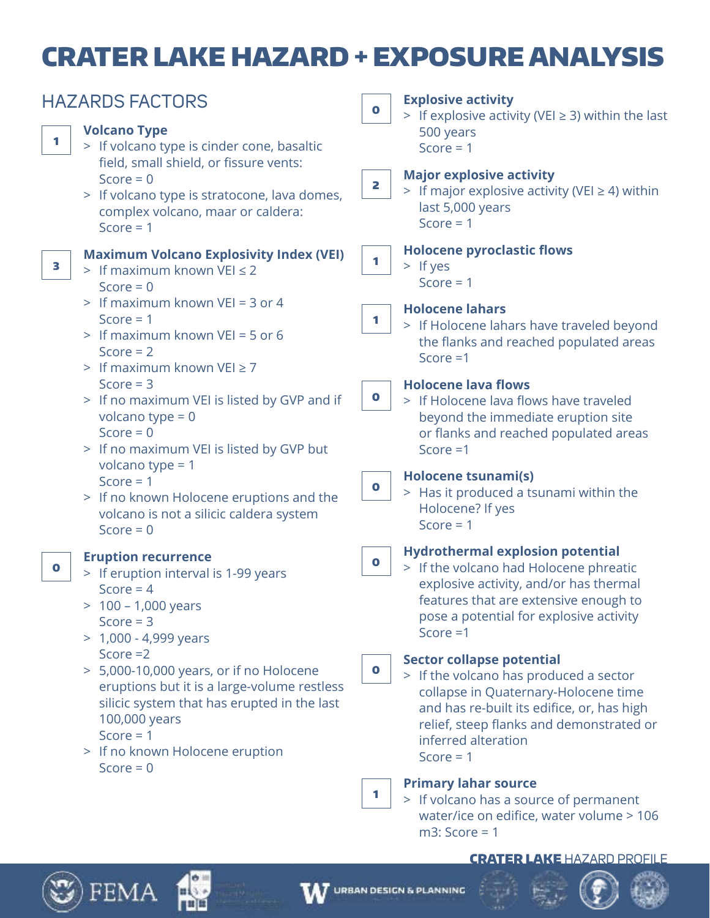# CRATER LAKE HAZARD + EXPOSURE ANALYSIS

|           | <b>HAZARDS FACTORS</b>                                                                                                                                                                                                                                                                                                                  | $\bullet$                | <b>Explosive activity</b><br>> If explosive activity (VEI $\geq$ 3) within the last                                                                                                                                                                                                                                                                                                                                                           |  |
|-----------|-----------------------------------------------------------------------------------------------------------------------------------------------------------------------------------------------------------------------------------------------------------------------------------------------------------------------------------------|--------------------------|-----------------------------------------------------------------------------------------------------------------------------------------------------------------------------------------------------------------------------------------------------------------------------------------------------------------------------------------------------------------------------------------------------------------------------------------------|--|
| 1         | <b>Volcano Type</b><br>> If volcano type is cinder cone, basaltic<br>field, small shield, or fissure vents:                                                                                                                                                                                                                             |                          | 500 years<br>Score = $1$                                                                                                                                                                                                                                                                                                                                                                                                                      |  |
|           | Score = $0$<br>> If volcano type is stratocone, lava domes,<br>complex volcano, maar or caldera:<br>Score = $1$                                                                                                                                                                                                                         | 2                        | <b>Major explosive activity</b><br>> If major explosive activity (VEI $\geq$ 4) within<br>last 5,000 years<br>Score = $1$                                                                                                                                                                                                                                                                                                                     |  |
| 3         | <b>Maximum Volcano Explosivity Index (VEI)</b><br>> If maximum known VEI $\leq$ 2<br>Score = $0$                                                                                                                                                                                                                                        | 1                        | <b>Holocene pyroclastic flows</b><br>$>$ If yes<br>Score $= 1$                                                                                                                                                                                                                                                                                                                                                                                |  |
|           | > If maximum known VEI = 3 or 4<br>Score $= 1$<br>> If maximum known VEI = 5 or 6<br>Score $= 2$<br>> If maximum known VEI $\geq$ 7                                                                                                                                                                                                     | 1                        | <b>Holocene lahars</b><br>> If Holocene lahars have traveled beyond<br>the flanks and reached populated areas<br>Score $=1$                                                                                                                                                                                                                                                                                                                   |  |
|           | Score $=$ 3<br>> If no maximum VEI is listed by GVP and if<br>volcano type = $0$<br>Score = $0$<br>> If no maximum VEI is listed by GVP but                                                                                                                                                                                             | $\bullet$                | <b>Holocene lava flows</b><br>> If Holocene lava flows have traveled<br>beyond the immediate eruption site<br>or flanks and reached populated areas<br>Score $=1$                                                                                                                                                                                                                                                                             |  |
|           | volcano type = $1$<br>Score = $1$<br>> If no known Holocene eruptions and the<br>volcano is not a silicic caldera system<br>Score = $0$                                                                                                                                                                                                 | $\bullet$                | <b>Holocene tsunami(s)</b><br>> Has it produced a tsunami within the<br>Holocene? If yes<br>Score $= 1$                                                                                                                                                                                                                                                                                                                                       |  |
| $\bullet$ | <b>Eruption recurrence</b><br>> If eruption interval is 1-99 years<br>Score = $4$<br>100 - 1,000 years<br>Score $=$ 3<br>$> 1,000 - 4,999$ years<br>Score $=2$<br>> 5,000-10,000 years, or if no Holocene<br>eruptions but it is a large-volume restless<br>silicic system that has erupted in the last<br>100,000 years<br>Score = $1$ | $\mathbf 0$<br>$\bullet$ | <b>Hydrothermal explosion potential</b><br>> If the volcano had Holocene phreatic<br>explosive activity, and/or has thermal<br>features that are extensive enough to<br>pose a potential for explosive activity<br>Score $=1$<br><b>Sector collapse potential</b><br>> If the volcano has produced a sector<br>collapse in Quaternary-Holocene time<br>and has re-built its edifice, or, has high<br>relief, steep flanks and demonstrated or |  |
|           | > If no known Holocene eruption<br>Score = $0$                                                                                                                                                                                                                                                                                          | 1.                       | inferred alteration<br>Score $= 1$<br><b>Primary lahar source</b><br>> If volcano has a source of permanent<br>water/ice on edifice, water volume > 106<br>$m3$ : Score = 1                                                                                                                                                                                                                                                                   |  |

### CRATER LAKE HAZARD PROFILE



 $\mathbb{Z}$ ) FEMA

нί

min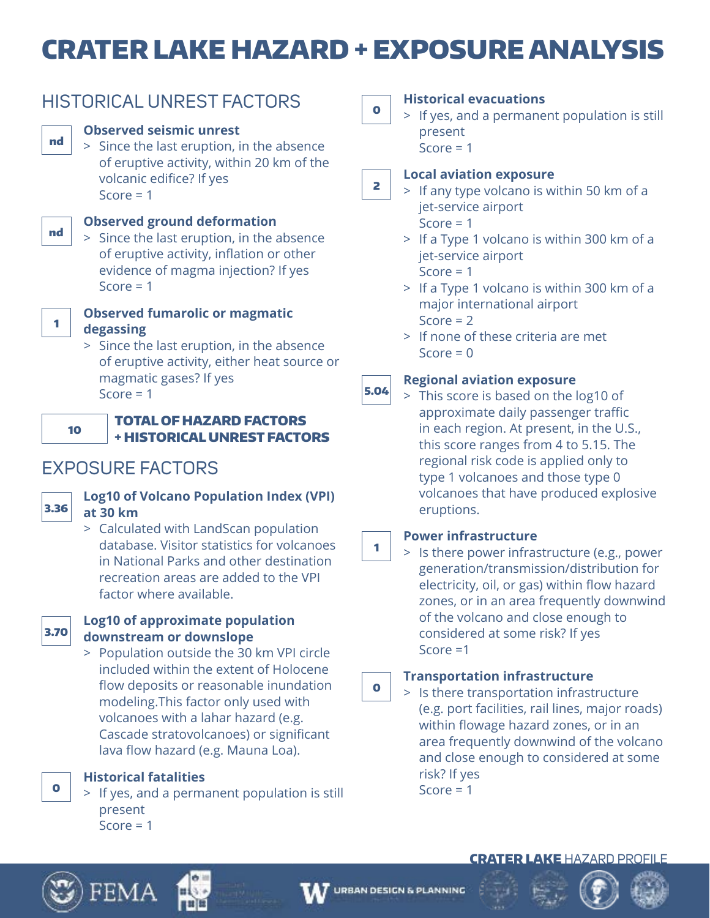# CRATER LAKE HAZARD + EXPOSURE ANALYSIS



HISTORICAL UNREST FACTORS

of eruptive activity, either heat source or magmatic gases? If yes Score  $= 1$ 



nd

nd

1

## TOTAL OF HAZARD FACTORS + HISTORICAL UNREST FACTORS

# EXPOSURE FACTORS



# **Log10 of Volcano Population Index (VPI) at 30 km**

 > Calculated with LandScan population database. Visitor statistics for volcanoes in National Parks and other destination recreation areas are added to the VPI factor where available.



## **Log10 of approximate population downstream or downslope**

 > Population outside the 30 km VPI circle included within the extent of Holocene flow deposits or reasonable inundation modeling.This factor only used with volcanoes with a lahar hazard (e.g. Cascade stratovolcanoes) or significant lava flow hazard (e.g. Mauna Loa).

**Historical fatalities**

 > If yes, and a permanent population is still present  $Score = 1$ 

0

## **Historical evacuations**

 > If yes, and a permanent population is still present  $Score = 1$ 

### 2 **Local aviation exposure**

 > If any type volcano is within 50 km of a jet-service airport Score  $= 1$ 

 > If a Type 1 volcano is within 300 km of a jet-service airport

Score  $= 1$ 

- > If a Type 1 volcano is within 300 km of a major international airport Score  $= 2$
- > If none of these criteria are met  $Score = 0$

#### 5.04 **Regional aviation exposure**

 > This score is based on the log10 of approximate daily passenger traffic in each region. At present, in the U.S., this score ranges from 4 to 5.15. The regional risk code is applied only to type 1 volcanoes and those type 0 volcanoes that have produced explosive eruptions.

# **Power infrastructure**

1

 > Is there power infrastructure (e.g., power generation/transmission/distribution for electricity, oil, or gas) within flow hazard zones, or in an area frequently downwind of the volcano and close enough to considered at some risk? If yes Score =1

#### $\bullet$ **Transportation infrastructure**

 > Is there transportation infrastructure (e.g. port facilities, rail lines, major roads) within flowage hazard zones, or in an area frequently downwind of the volcano and close enough to considered at some risk? If yes Score  $= 1$ 



0







# CRATER LAKE HAZARD PROFILE

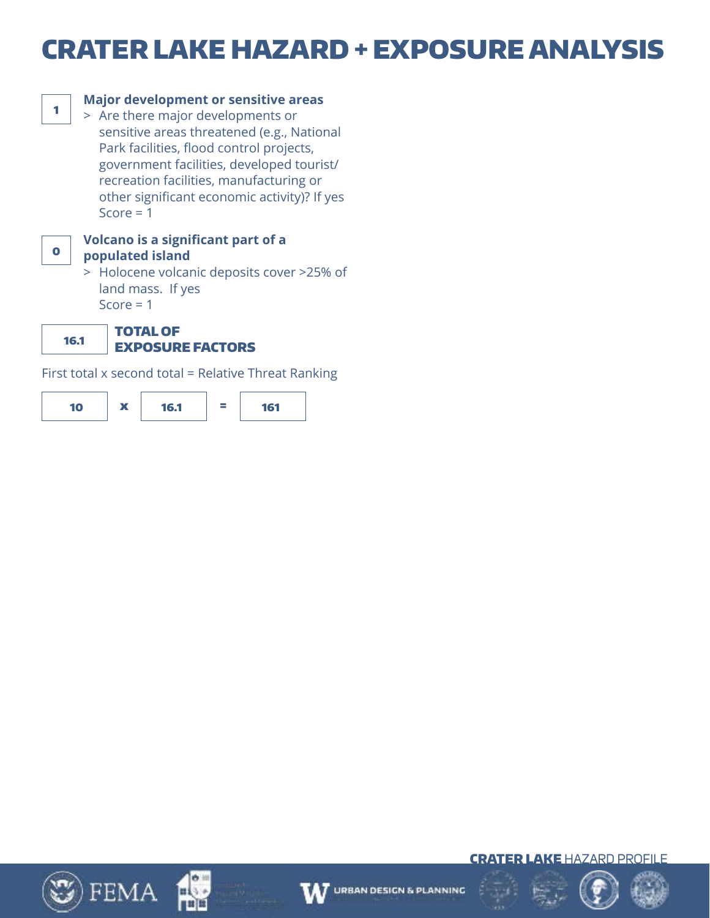# CRATER LAKE HAZARD + EXPOSURE ANALYSIS



# **Major development or sensitive areas**

 > Are there major developments or sensitive areas threatened (e.g., National Park facilities, flood control projects, government facilities, developed tourist/ recreation facilities, manufacturing or other significant economic activity)? If yes Score  $= 1$ 



### **Volcano is a significant part of a populated island**

 > Holocene volcanic deposits cover >25% of land mass. If yes Score  $= 1$ 

16.1 TOTAL OF

# EXPOSURE FACTORS

First total x second total = Relative Threat Ranking













CRATER LAKE HAZARD PROFILE

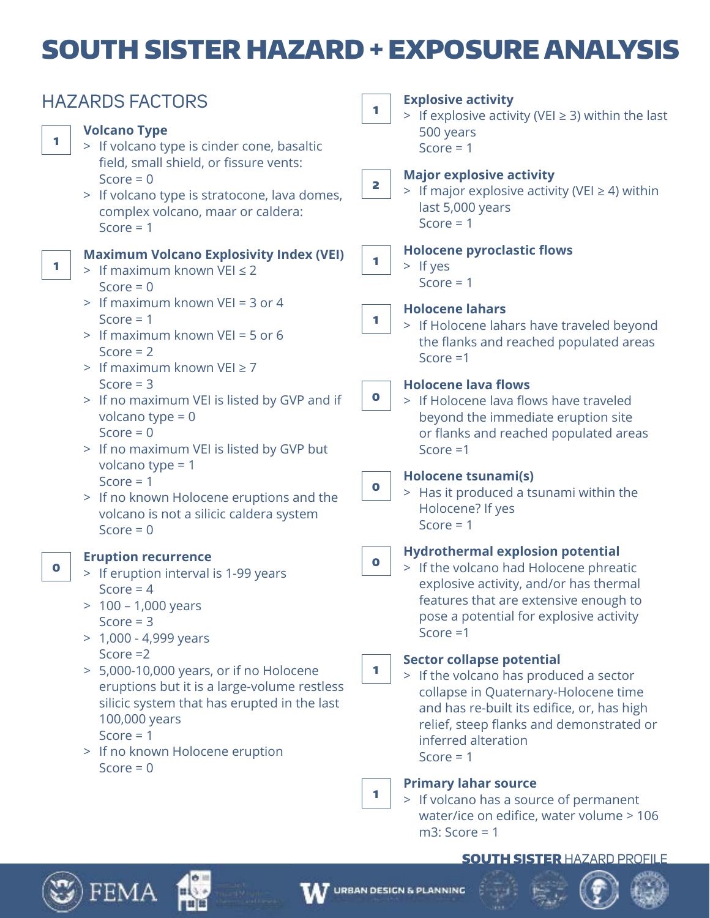# SOUTH SISTER HAZARD + EXPOSURE ANALYSIS

|           | <b>HAZARDS FACTORS</b>                                                                                                                                                                                                                                                                                                                      | 1               | <b>Explosive activity</b><br>> If explosive activity (VEI $\geq$ 3) within the last                                                                                                                                                                                                                                                                                                                                                                                  |  |
|-----------|---------------------------------------------------------------------------------------------------------------------------------------------------------------------------------------------------------------------------------------------------------------------------------------------------------------------------------------------|-----------------|----------------------------------------------------------------------------------------------------------------------------------------------------------------------------------------------------------------------------------------------------------------------------------------------------------------------------------------------------------------------------------------------------------------------------------------------------------------------|--|
| 1         | <b>Volcano Type</b><br>> If volcano type is cinder cone, basaltic<br>field, small shield, or fissure vents:                                                                                                                                                                                                                                 |                 | 500 years<br>Score = $1$                                                                                                                                                                                                                                                                                                                                                                                                                                             |  |
|           | Score = $0$<br>> If volcano type is stratocone, lava domes,<br>complex volcano, maar or caldera:<br>Score $= 1$                                                                                                                                                                                                                             | 2               | <b>Major explosive activity</b><br>> If major explosive activity (VEI $\geq$ 4) within<br>last 5,000 years<br>Score = $1$                                                                                                                                                                                                                                                                                                                                            |  |
| 1         | <b>Maximum Volcano Explosivity Index (VEI)</b><br>> If maximum known $VEI \leq 2$<br>Score = $0$                                                                                                                                                                                                                                            | 1.              | <b>Holocene pyroclastic flows</b><br>$>$ If yes<br>Score $= 1$                                                                                                                                                                                                                                                                                                                                                                                                       |  |
|           | > If maximum known VEI = 3 or 4<br>Score $= 1$<br>> If maximum known VEI = 5 or 6<br>Score $= 2$<br>> If maximum known $VEI \ge 7$                                                                                                                                                                                                          | 1               | <b>Holocene lahars</b><br>> If Holocene lahars have traveled beyond<br>the flanks and reached populated areas<br>Score $=1$                                                                                                                                                                                                                                                                                                                                          |  |
|           | Score $=$ 3<br>> If no maximum VEI is listed by GVP and if<br>volcano type = $0$<br>Score = $0$<br>> If no maximum VEI is listed by GVP but                                                                                                                                                                                                 | $\bullet$       | <b>Holocene lava flows</b><br>> If Holocene lava flows have traveled<br>beyond the immediate eruption site<br>or flanks and reached populated areas<br>Score $=1$                                                                                                                                                                                                                                                                                                    |  |
|           | volcano type = $1$<br>Score $= 1$<br>> If no known Holocene eruptions and the<br>volcano is not a silicic caldera system<br>Score = $0$                                                                                                                                                                                                     | 0               | <b>Holocene tsunami(s)</b><br>> Has it produced a tsunami within the<br>Holocene? If yes<br>Score $= 1$                                                                                                                                                                                                                                                                                                                                                              |  |
| $\bullet$ | <b>Eruption recurrence</b><br>> If eruption interval is 1-99 years<br>Score = $4$<br>$> 100 - 1,000$ years<br>Score $= 3$<br>$> 1,000 - 4,999$ years<br>Score $=2$<br>> 5,000-10,000 years, or if no Holocene<br>eruptions but it is a large-volume restless<br>silicic system that has erupted in the last<br>100,000 years<br>Score = $1$ | $\bullet$<br>1. | <b>Hydrothermal explosion potential</b><br>> If the volcano had Holocene phreatic<br>explosive activity, and/or has thermal<br>features that are extensive enough to<br>pose a potential for explosive activity<br>Score $=1$<br><b>Sector collapse potential</b><br>> If the volcano has produced a sector<br>collapse in Quaternary-Holocene time<br>and has re-built its edifice, or, has high<br>relief, steep flanks and demonstrated or<br>inferred alteration |  |
|           | > If no known Holocene eruption<br>Score = $0$                                                                                                                                                                                                                                                                                              | 1               | Score $= 1$<br><b>Primary lahar source</b><br>> If volcano has a source of permanent<br>water/ice on edifice, water volume > 106<br>$m3$ : Score = 1                                                                                                                                                                                                                                                                                                                 |  |

### SOUTH SISTER HAZARD PROFILE







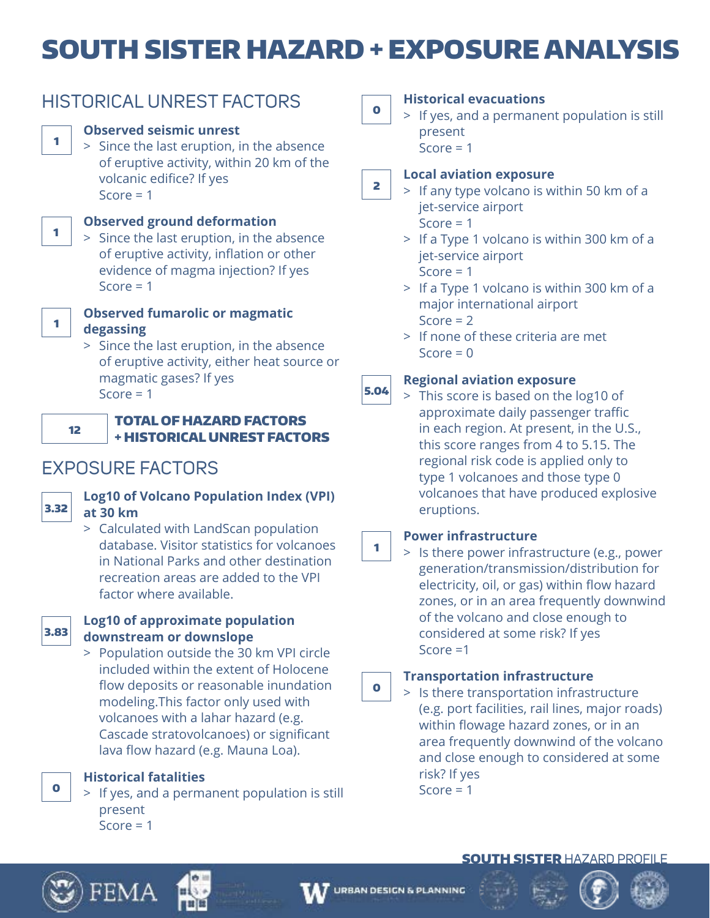# SOUTH SISTER HAZARD + EXPOSURE ANALYSIS

# HISTORICAL UNREST FACTORS

# **Observed seismic unrest**

 > Since the last eruption, in the absence of eruptive activity, within 20 km of the volcanic edifice? If yes Score  $= 1$ 



# **Observed ground deformation**

 > Since the last eruption, in the absence of eruptive activity, inflation or other evidence of magma injection? If yes Score  $= 1$ 



## **Observed fumarolic or magmatic degassing**

 > Since the last eruption, in the absence of eruptive activity, either heat source or magmatic gases? If yes Score  $= 1$ 



## TOTAL OF HAZARD FACTORS + HISTORICAL UNREST FACTORS

# EXPOSURE FACTORS



# **Log10 of Volcano Population Index (VPI) at 30 km**

 > Calculated with LandScan population database. Visitor statistics for volcanoes in National Parks and other destination recreation areas are added to the VPI factor where available.



## **Log10 of approximate population downstream or downslope**

 > Population outside the 30 km VPI circle included within the extent of Holocene flow deposits or reasonable inundation modeling.This factor only used with volcanoes with a lahar hazard (e.g. Cascade stratovolcanoes) or significant lava flow hazard (e.g. Mauna Loa).

**Historical fatalities**

 > If yes, and a permanent population is still present  $Score = 1$ 

0

# **Historical evacuations**

 > If yes, and a permanent population is still present

 $Score = 1$ 

### 2 **Local aviation exposure**

 > If any type volcano is within 50 km of a jet-service airport Score  $= 1$ 

- > If a Type 1 volcano is within 300 km of a jet-service airport Score  $= 1$
- > If a Type 1 volcano is within 300 km of a major international airport Score  $= 2$
- > If none of these criteria are met  $Score = 0$

### 5.04 **Regional aviation exposure**

 > This score is based on the log10 of approximate daily passenger traffic in each region. At present, in the U.S., this score ranges from 4 to 5.15. The regional risk code is applied only to type 1 volcanoes and those type 0 volcanoes that have produced explosive eruptions.

# **Power infrastructure**

1

 > Is there power infrastructure (e.g., power generation/transmission/distribution for electricity, oil, or gas) within flow hazard zones, or in an area frequently downwind of the volcano and close enough to considered at some risk? If yes Score =1

#### $\bullet$ **Transportation infrastructure**

 > Is there transportation infrastructure (e.g. port facilities, rail lines, major roads) within flowage hazard zones, or in an area frequently downwind of the volcano and close enough to considered at some risk? If yes Score  $= 1$ 

# SOUTH SISTER HAZARD PROFILE



0









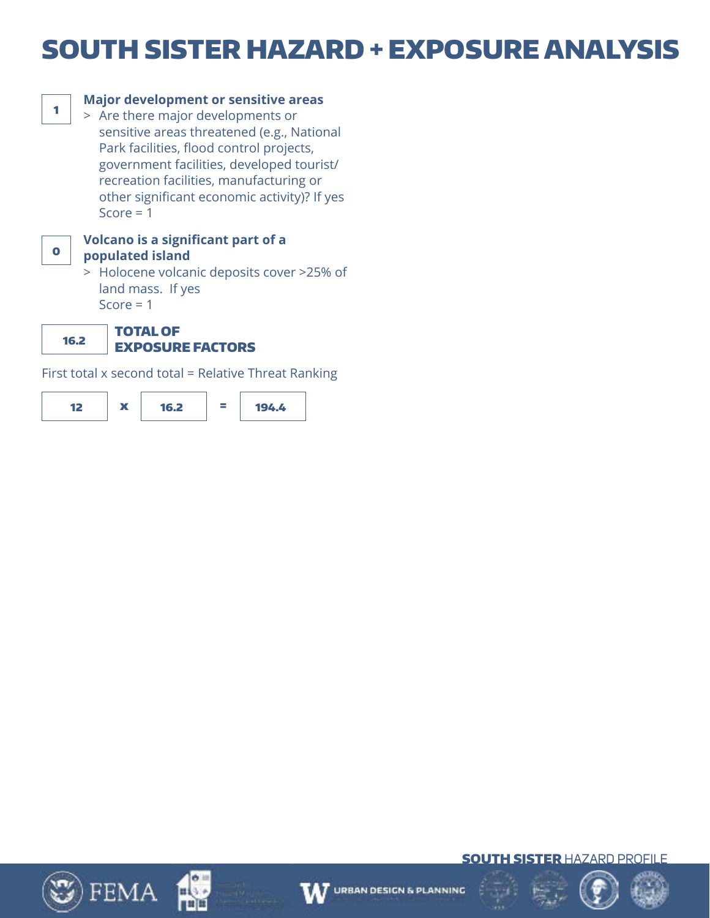# SOUTH SISTER HAZARD + EXPOSURE ANALYSIS



## **Major development or sensitive areas**

 > Are there major developments or sensitive areas threatened (e.g., National Park facilities, flood control projects, government facilities, developed tourist/ recreation facilities, manufacturing or other significant economic activity)? If yes Score  $= 1$ 



### **Volcano is a significant part of a populated island**

 > Holocene volcanic deposits cover >25% of land mass. If yes Score  $= 1$ 

16.2 TOTAL OF

# EXPOSURE FACTORS

First total x second total = Relative Threat Ranking













**SOUTH SISTER HAZARD PROFILE** 

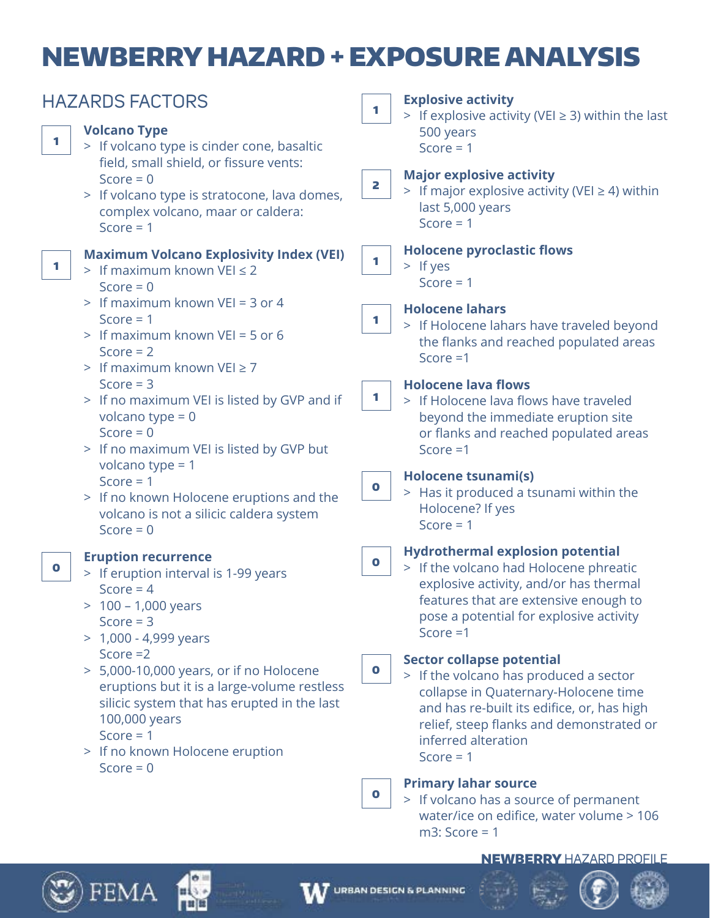# NEWBERRY HAZARD + EXPOSURE ANALYSIS

| <b>HAZARDS FACTORS</b><br><b>Volcano Type</b><br>1<br>> If volcano type is cinder cone, basaltic                                                                                                                       | <b>Explosive activity</b><br>1<br>> If explosive activity (VEI $\geq$ 3) within the last<br>500 years<br>Score = $1$                                                                                                                                            |  |  |
|------------------------------------------------------------------------------------------------------------------------------------------------------------------------------------------------------------------------|-----------------------------------------------------------------------------------------------------------------------------------------------------------------------------------------------------------------------------------------------------------------|--|--|
| field, small shield, or fissure vents:                                                                                                                                                                                 | <b>Major explosive activity</b>                                                                                                                                                                                                                                 |  |  |
| Score = $0$                                                                                                                                                                                                            | 2                                                                                                                                                                                                                                                               |  |  |
| > If volcano type is stratocone, lava domes,                                                                                                                                                                           | > If major explosive activity (VEI $\geq$ 4) within                                                                                                                                                                                                             |  |  |
| complex volcano, maar or caldera:                                                                                                                                                                                      | last 5,000 years                                                                                                                                                                                                                                                |  |  |
| Score $= 1$                                                                                                                                                                                                            | Score = $1$                                                                                                                                                                                                                                                     |  |  |
| <b>Maximum Volcano Explosivity Index (VEI)</b>                                                                                                                                                                         | <b>Holocene pyroclastic flows</b>                                                                                                                                                                                                                               |  |  |
| 1                                                                                                                                                                                                                      | 1                                                                                                                                                                                                                                                               |  |  |
| > If maximum known VEI $\leq$ 2                                                                                                                                                                                        | $>$ If yes                                                                                                                                                                                                                                                      |  |  |
| Score = $0$                                                                                                                                                                                                            | Score $= 1$                                                                                                                                                                                                                                                     |  |  |
| > If maximum known VEI = 3 or 4                                                                                                                                                                                        | <b>Holocene lahars</b>                                                                                                                                                                                                                                          |  |  |
| Score $= 1$                                                                                                                                                                                                            | 1                                                                                                                                                                                                                                                               |  |  |
| > If maximum known VEI = 5 or 6                                                                                                                                                                                        | > If Holocene lahars have traveled beyond                                                                                                                                                                                                                       |  |  |
| Score $= 2$                                                                                                                                                                                                            | the flanks and reached populated areas                                                                                                                                                                                                                          |  |  |
| > If maximum known VEI $\geq$ 7                                                                                                                                                                                        | Score $=1$                                                                                                                                                                                                                                                      |  |  |
| Score $=$ 3<br>> If no maximum VEI is listed by GVP and if<br>volcano type = $0$<br>Score = $0$<br>> If no maximum VEI is listed by GVP but                                                                            | <b>Holocene lava flows</b><br>1<br>> If Holocene lava flows have traveled<br>beyond the immediate eruption site<br>or flanks and reached populated areas<br>Score $=1$                                                                                          |  |  |
| volcano type = $1$                                                                                                                                                                                                     | Holocene tsunami(s)                                                                                                                                                                                                                                             |  |  |
| Score = $1$                                                                                                                                                                                                            | $\mathbf 0$                                                                                                                                                                                                                                                     |  |  |
| > If no known Holocene eruptions and the                                                                                                                                                                               | > Has it produced a tsunami within the                                                                                                                                                                                                                          |  |  |
| volcano is not a silicic caldera system                                                                                                                                                                                | Holocene? If yes                                                                                                                                                                                                                                                |  |  |
| Score = $0$                                                                                                                                                                                                            | Score $= 1$                                                                                                                                                                                                                                                     |  |  |
| <b>Eruption recurrence</b>                                                                                                                                                                                             | <b>Hydrothermal explosion potential</b>                                                                                                                                                                                                                         |  |  |
| O.                                                                                                                                                                                                                     | $\mathbf 0$                                                                                                                                                                                                                                                     |  |  |
| > If eruption interval is 1-99 years                                                                                                                                                                                   | > If the volcano had Holocene phreatic                                                                                                                                                                                                                          |  |  |
| Score = $4$                                                                                                                                                                                                            | explosive activity, and/or has thermal                                                                                                                                                                                                                          |  |  |
| $> 100 - 1,000$ years                                                                                                                                                                                                  | features that are extensive enough to                                                                                                                                                                                                                           |  |  |
| Score $=$ 3                                                                                                                                                                                                            | pose a potential for explosive activity                                                                                                                                                                                                                         |  |  |
| $> 1,000 - 4,999$ years                                                                                                                                                                                                | Score $=1$                                                                                                                                                                                                                                                      |  |  |
| Score $=2$<br>> 5,000-10,000 years, or if no Holocene<br>eruptions but it is a large-volume restless<br>silicic system that has erupted in the last<br>100,000 years<br>Score $= 1$<br>> If no known Holocene eruption | <b>Sector collapse potential</b><br>$\bullet$<br>> If the volcano has produced a sector<br>collapse in Quaternary-Holocene time<br>and has re-built its edifice, or, has high<br>relief, steep flanks and demonstrated or<br>inferred alteration<br>Score = $1$ |  |  |
| Score = $0$                                                                                                                                                                                                            | <b>Primary lahar source</b><br>$\bullet$<br>> If volcano has a source of permanent<br>water/ice on edifice, water volume > 106<br>$m3$ : Score = 1                                                                                                              |  |  |

### NEWBERRY HAZARD PROFILE



 $\mathfrak{Y}$ ) FEMA

рц mill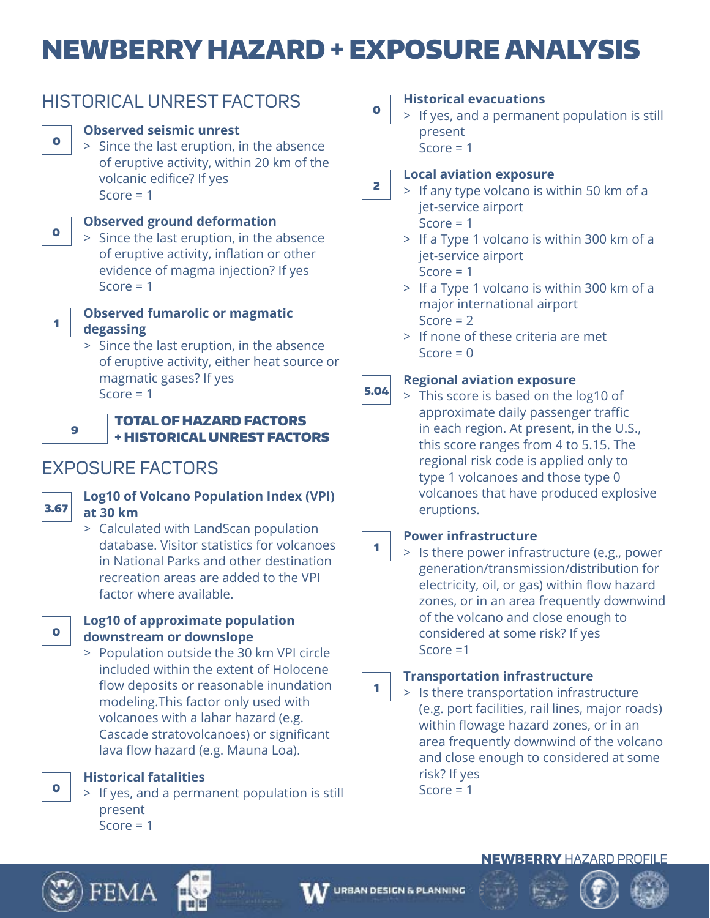# NEWBERRY HAZARD + EXPOSURE ANALYSIS

| ۰. |  |
|----|--|
|----|--|

# HISTORICAL UNREST FACTORS

# **Observed seismic unrest**

 > Since the last eruption, in the absence of eruptive activity, within 20 km of the volcanic edifice? If yes Score  $= 1$ 



# **Observed ground deformation**

 > Since the last eruption, in the absence of eruptive activity, inflation or other evidence of magma injection? If yes Score  $= 1$ 



# **Observed fumarolic or magmatic degassing**

 > Since the last eruption, in the absence of eruptive activity, either heat source or magmatic gases? If yes Score  $= 1$ 



# TOTAL OF HAZARD FACTORS + HISTORICAL UNREST FACTORS

# EXPOSURE FACTORS



# **Log10 of Volcano Population Index (VPI) at 30 km**

 > Calculated with LandScan population database. Visitor statistics for volcanoes in National Parks and other destination recreation areas are added to the VPI factor where available.



# **Log10 of approximate population downstream or downslope**

 > Population outside the 30 km VPI circle included within the extent of Holocene flow deposits or reasonable inundation modeling.This factor only used with volcanoes with a lahar hazard (e.g. Cascade stratovolcanoes) or significant lava flow hazard (e.g. Mauna Loa).

**Historical fatalities**

 > If yes, and a permanent population is still present  $Score = 1$ 

0

# **Historical evacuations**

 > If yes, and a permanent population is still present  $Score = 1$ 

### 2 **Local aviation exposure**

 > If any type volcano is within 50 km of a jet-service airport Score  $= 1$ 

- > If a Type 1 volcano is within 300 km of a jet-service airport Score  $= 1$
- > If a Type 1 volcano is within 300 km of a major international airport Score  $= 2$
- > If none of these criteria are met  $Score = 0$

### 5.04 **Regional aviation exposure**

 > This score is based on the log10 of approximate daily passenger traffic in each region. At present, in the U.S., this score ranges from 4 to 5.15. The regional risk code is applied only to type 1 volcanoes and those type 0 volcanoes that have produced explosive eruptions.

# **Power infrastructure**

1

 > Is there power infrastructure (e.g., power generation/transmission/distribution for electricity, oil, or gas) within flow hazard zones, or in an area frequently downwind of the volcano and close enough to considered at some risk? If yes Score =1

### 1 **Transportation infrastructure**

 > Is there transportation infrastructure (e.g. port facilities, rail lines, major roads) within flowage hazard zones, or in an area frequently downwind of the volcano and close enough to considered at some risk? If yes Score  $= 1$ 



0





# NEWBERRY HAZARD PROFILE



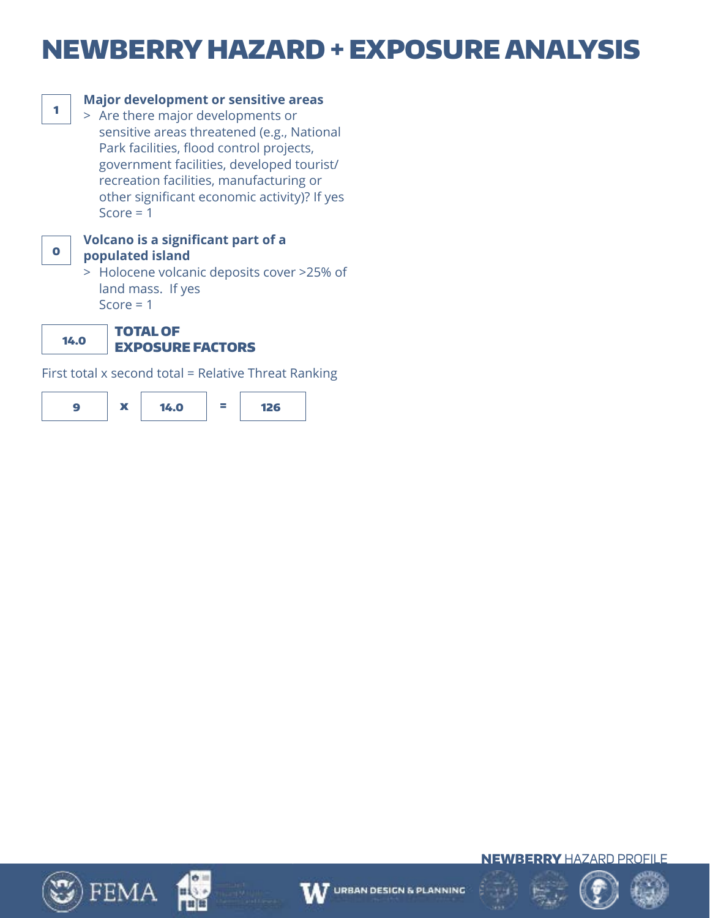# NEWBERRY HAZARD + EXPOSURE ANALYSIS



# **Major development or sensitive areas**

 > Are there major developments or sensitive areas threatened (e.g., National Park facilities, flood control projects, government facilities, developed tourist/ recreation facilities, manufacturing or other significant economic activity)? If yes Score  $= 1$ 



### **Volcano is a significant part of a populated island**

 > Holocene volcanic deposits cover >25% of land mass. If yes Score  $= 1$ 

14.0

### TOTAL OF EXPOSURE FACTORS

First total x second total = Relative Threat Ranking









$$
\bigoplus_{i=1}^n \mathbb{Z}_i
$$



NEWBERRY HAZARD PROFILE

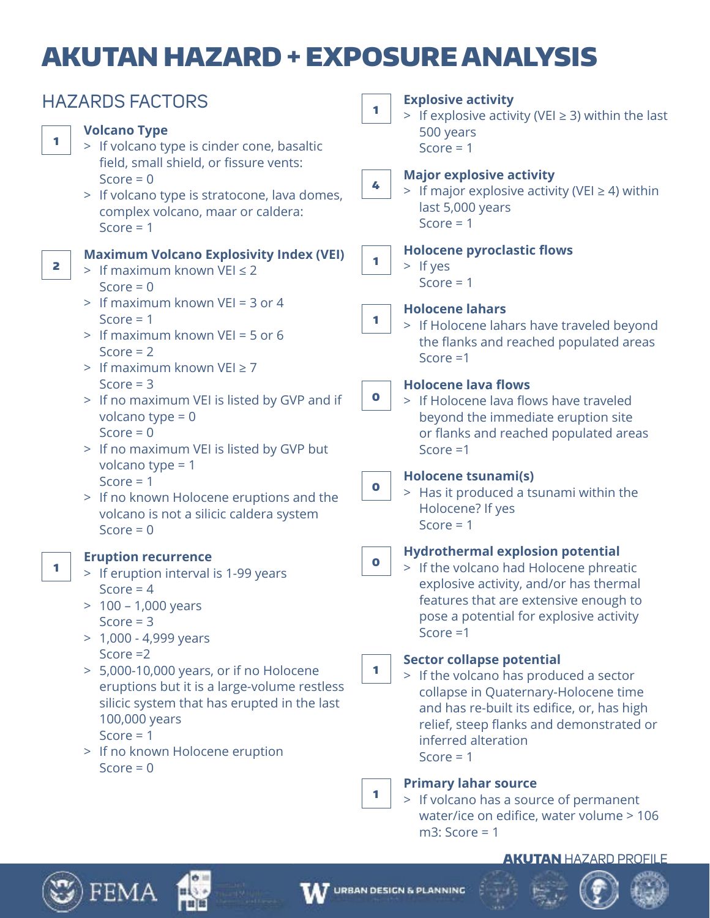# AKUTAN HAZARD + EXPOSURE ANALYSIS

| <b>HAZARDS FACTORS</b> |                                                                                                                                                                                                                                       | <b>Explosive activity</b><br>1<br>> If explosive activity (VEI $\geq$ 3) within the last                                                                                                                                                                 |  |
|------------------------|---------------------------------------------------------------------------------------------------------------------------------------------------------------------------------------------------------------------------------------|----------------------------------------------------------------------------------------------------------------------------------------------------------------------------------------------------------------------------------------------------------|--|
| 1                      | <b>Volcano Type</b><br>> If volcano type is cinder cone, basaltic                                                                                                                                                                     | 500 years<br>Score = $1$                                                                                                                                                                                                                                 |  |
|                        | field, small shield, or fissure vents:<br>Score = $0$<br>> If volcano type is stratocone, lava domes,<br>complex volcano, maar or caldera:<br>Score $= 1$                                                                             | <b>Major explosive activity</b><br>4<br>> If major explosive activity (VEI $\geq$ 4) within<br>last 5,000 years<br>Score $= 1$                                                                                                                           |  |
| 2                      | <b>Maximum Volcano Explosivity Index (VEI)</b><br>> If maximum known VEI $\leq$ 2<br>Score = $0$                                                                                                                                      | <b>Holocene pyroclastic flows</b><br>1<br>$>$ If yes<br>Score $= 1$                                                                                                                                                                                      |  |
|                        | > If maximum known VEI = 3 or 4<br>Score = $1$<br>> If maximum known VEI = 5 or 6<br>Score $= 2$<br>> If maximum known VEI $\geq$ 7                                                                                                   | <b>Holocene lahars</b><br>1<br>> If Holocene lahars have traveled beyond<br>the flanks and reached populated areas<br>Score $=1$                                                                                                                         |  |
|                        | Score $=$ 3<br>> If no maximum VEI is listed by GVP and if<br>volcano type = $0$<br>Score = $0$<br>> If no maximum VEI is listed by GVP but                                                                                           | <b>Holocene lava flows</b><br>$\mathbf 0$<br>> If Holocene lava flows have traveled<br>beyond the immediate eruption site<br>or flanks and reached populated areas<br>Score $=1$                                                                         |  |
|                        | volcano type = $1$<br>Score = $1$<br>> If no known Holocene eruptions and the<br>volcano is not a silicic caldera system<br>Score = $0$                                                                                               | Holocene tsunami(s)<br>$\bullet$<br>> Has it produced a tsunami within the<br>Holocene? If yes<br>Score = $1$                                                                                                                                            |  |
| 1                      | <b>Eruption recurrence</b><br>> If eruption interval is 1-99 years<br>Score = $4$<br>$> 100 - 1,000$ years<br>Score $=$ 3<br>$> 1,000 - 4,999$ years                                                                                  | <b>Hydrothermal explosion potential</b><br>$\bullet$<br>> If the volcano had Holocene phreatic<br>explosive activity, and/or has thermal<br>features that are extensive enough to<br>pose a potential for explosive activity<br>Score $=1$               |  |
|                        | Score $=2$<br>> 5,000-10,000 years, or if no Holocene<br>eruptions but it is a large-volume restless<br>silicic system that has erupted in the last<br>100,000 years<br>Score = $1$<br>> If no known Holocene eruption<br>Score = $0$ | <b>Sector collapse potential</b><br>1.<br>> If the volcano has produced a sector<br>collapse in Quaternary-Holocene time<br>and has re-built its edifice, or, has high<br>relief, steep flanks and demonstrated or<br>inferred alteration<br>Score $= 1$ |  |
|                        |                                                                                                                                                                                                                                       | <b>Primary lahar source</b><br>1.<br>> If volcano has a source of permanent<br>water/ice on edifice, water volume > 106                                                                                                                                  |  |

### AKUTAN HAZARD PROFILE







m3: Score = 1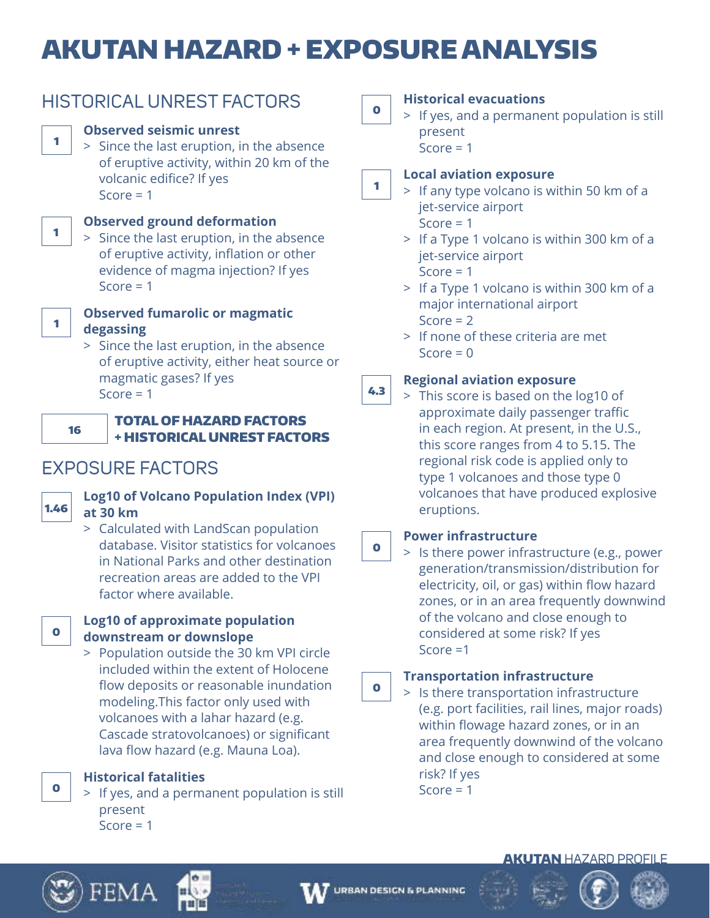# AKUTAN HAZARD + EXPOSURE ANALYSIS

|    | <b>HISTORICAL UNREST FACTORS</b>                                                                                                                                                        | $\mathbf 0$ | <b>Histo</b><br>If y                                       |
|----|-----------------------------------------------------------------------------------------------------------------------------------------------------------------------------------------|-------------|------------------------------------------------------------|
| 1  | <b>Observed seismic unrest</b><br>> Since the last eruption, in the absence<br>of eruptive activity, within 20 km of the<br>volcanic edifice? If yes<br>Score $= 1$                     | 1           | pre<br><b>Sco</b><br>Local<br>$>$ If a<br>jet              |
|    | <b>Observed ground deformation</b><br>> Since the last eruption, in the absence<br>of eruptive activity, inflation or other<br>evidence of magma injection? If yes<br>Score $= 1$       |             | Sco<br>$>$ If a<br>jet<br>Sco<br>$>$ If a                  |
|    | <b>Observed fumarolic or magmatic</b><br>degassing<br>> Since the last eruption, in the absence<br>of eruptive activity, either heat source or<br>magmatic gases? If yes<br>Score $= 1$ | 4.3         | ma<br>Sco<br>> If r<br>Sco<br><b>Regio</b><br>Th<br>$\geq$ |
| 16 | <b>TOTAL OF HAZARD FACTORS</b><br><b>+ HISTORICAL UNREST FACTORS</b>                                                                                                                    |             | ap<br>in (<br>thi                                          |

# EXPOSURE FACTORS



# **Log10 of Volcano Population Index (VPI) at 30 km**

 > Calculated with LandScan population database. Visitor statistics for volcanoes in National Parks and other destination recreation areas are added to the VPI factor where available.



## **Log10 of approximate population downstream or downslope**

 > Population outside the 30 km VPI circle included within the extent of Holocene flow deposits or reasonable inundation modeling.This factor only used with volcanoes with a lahar hazard (e.g. Cascade stratovolcanoes) or significant lava flow hazard (e.g. Mauna Loa).

**Historical fatalities**

 > If yes, and a permanent population is still present  $Score = 1$ 

# **Historical evacuations**

es, and a permanent population is still esent

 $\alpha = 1$ 

# **Local aviation exposure**

- any type volcano is within 50 km of a -service airport  $ore = 1$ 
	- a Type 1 volcano is within 300 km of a -service airport  $\alpha$ re = 1
	- a Type 1 volcano is within 300 km of a ajor international airport  $ore = 2$
	- one of these criteria are met  $\alpha = 0$

# **Regional aviation exposure**

is score is based on the log10 of proximate daily passenger traffic each region. At present, in the U.S., this score ranges from 4 to 5.15. The regional risk code is applied only to type 1 volcanoes and those type 0 volcanoes that have produced explosive eruptions.

#### 0 **Power infrastructure**

 > Is there power infrastructure (e.g., power generation/transmission/distribution for electricity, oil, or gas) within flow hazard zones, or in an area frequently downwind of the volcano and close enough to considered at some risk? If yes Score =1

#### 0 **Transportation infrastructure**

 > Is there transportation infrastructure (e.g. port facilities, rail lines, major roads) within flowage hazard zones, or in an area frequently downwind of the volcano and close enough to considered at some risk? If yes Score  $= 1$ 

## **AKUTAN HAZARD PROFILE**



 $\bullet$ 







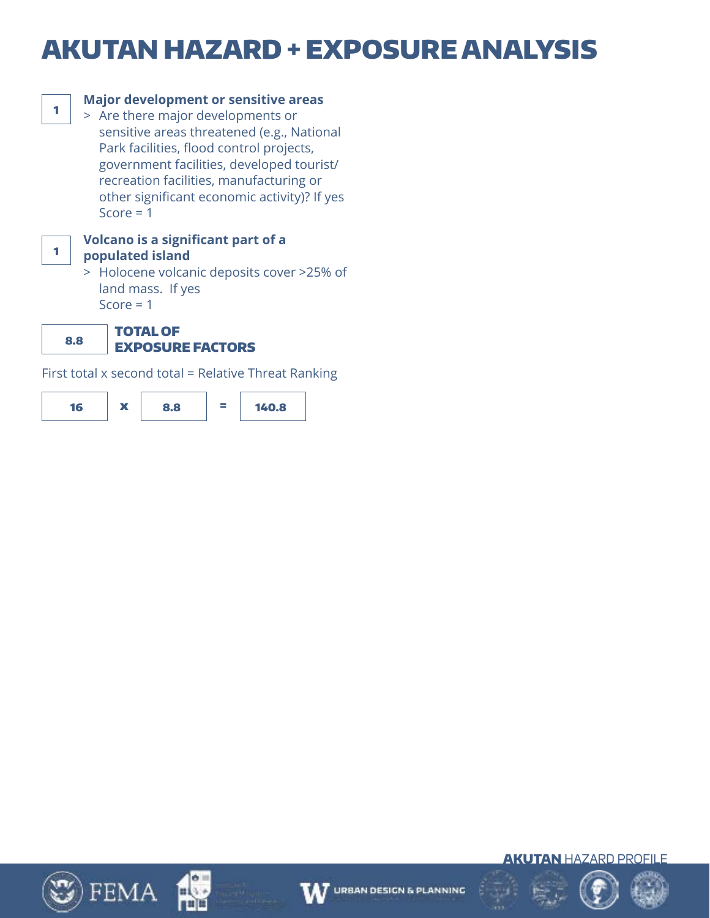# AKUTAN HAZARD + EXPOSURE ANALYSIS



# **Major development or sensitive areas**

 > Are there major developments or sensitive areas threatened (e.g., National Park facilities, flood control projects, government facilities, developed tourist/ recreation facilities, manufacturing or other significant economic activity)? If yes Score  $= 1$ 



### **Volcano is a significant part of a populated island**

 > Holocene volcanic deposits cover >25% of land mass. If yes Score  $= 1$ 

8.8 TOTAL OF

# EXPOSURE FACTORS

First total x second total = Relative Threat Ranking















**AKUTAN HAZARD PROFILE** 

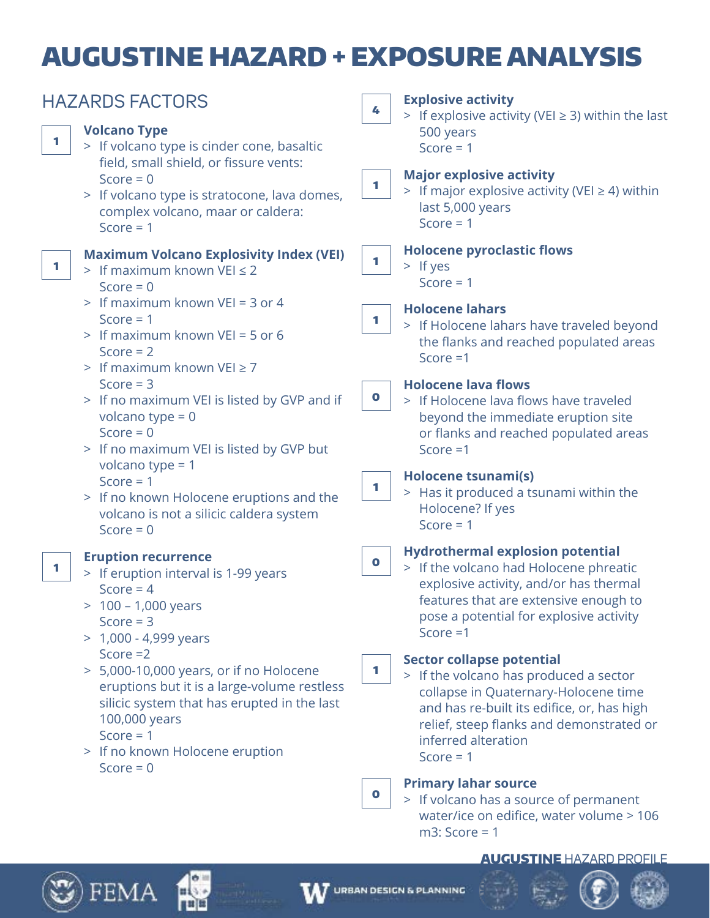# AUGUSTINE HAZARD + EXPOSURE ANALYSIS

| <b>HAZARDS FACTORS</b>                                                                                                                      | <b>Explosive activity</b><br>4<br>> If explosive activity (VEI $\geq$ 3) within the last                                                                                       |
|---------------------------------------------------------------------------------------------------------------------------------------------|--------------------------------------------------------------------------------------------------------------------------------------------------------------------------------|
| <b>Volcano Type</b><br>1<br>> If volcano type is cinder cone, basaltic<br>field, small shield, or fissure vents:                            | 500 years<br>Score = $1$                                                                                                                                                       |
| Score = $0$<br>> If volcano type is stratocone, lava domes,<br>complex volcano, maar or caldera:<br>Score $= 1$                             | <b>Major explosive activity</b><br>1.<br>> If major explosive activity (VEI $\geq$ 4) within<br>last 5,000 years<br>Score = $1$                                                |
| <b>Maximum Volcano Explosivity Index (VEI)</b>                                                                                              | <b>Holocene pyroclastic flows</b>                                                                                                                                              |
| 1                                                                                                                                           | 1                                                                                                                                                                              |
| > If maximum known VEI $\leq$ 2                                                                                                             | $>$ If yes                                                                                                                                                                     |
| Score = $0$                                                                                                                                 | Score $= 1$                                                                                                                                                                    |
| > If maximum known VEI = 3 or 4                                                                                                             | <b>Holocene lahars</b>                                                                                                                                                         |
| Score $= 1$                                                                                                                                 | 1                                                                                                                                                                              |
| > If maximum known VEI = 5 or 6                                                                                                             | > If Holocene lahars have traveled beyond                                                                                                                                      |
| Score $= 2$                                                                                                                                 | the flanks and reached populated areas                                                                                                                                         |
| > If maximum known $VEI \ge 7$                                                                                                              | Score $=1$                                                                                                                                                                     |
| Score $=$ 3<br>> If no maximum VEI is listed by GVP and if<br>volcano type = $0$<br>Score = $0$<br>> If no maximum VEI is listed by GVP but | <b>Holocene lava flows</b><br>$\bullet$<br>> If Holocene lava flows have traveled<br>beyond the immediate eruption site<br>or flanks and reached populated areas<br>Score $=1$ |
| volcano type = $1$                                                                                                                          | Holocene tsunami(s)                                                                                                                                                            |
| Score $= 1$                                                                                                                                 | 1                                                                                                                                                                              |
| > If no known Holocene eruptions and the                                                                                                    | > Has it produced a tsunami within the                                                                                                                                         |
| volcano is not a silicic caldera system                                                                                                     | Holocene? If yes                                                                                                                                                               |
| Score = $0$                                                                                                                                 | Score = $1$                                                                                                                                                                    |
| <b>Eruption recurrence</b>                                                                                                                  | <b>Hydrothermal explosion potential</b>                                                                                                                                        |
| 1.                                                                                                                                          | $\bullet$                                                                                                                                                                      |
| > If eruption interval is 1-99 years                                                                                                        | > If the volcano had Holocene phreatic                                                                                                                                         |
| Score = $4$                                                                                                                                 | explosive activity, and/or has thermal                                                                                                                                         |
| $> 100 - 1,000$ years                                                                                                                       | features that are extensive enough to                                                                                                                                          |
| Score $=$ 3                                                                                                                                 | pose a potential for explosive activity                                                                                                                                        |
| $> 1,000 - 4,999$ years                                                                                                                     | Score $=1$                                                                                                                                                                     |
| Score $=2$                                                                                                                                  | <b>Sector collapse potential</b>                                                                                                                                               |
| > 5,000-10,000 years, or if no Holocene                                                                                                     | 1                                                                                                                                                                              |
| eruptions but it is a large-volume restless                                                                                                 | > If the volcano has produced a sector                                                                                                                                         |
| silicic system that has erupted in the last                                                                                                 | collapse in Quaternary-Holocene time                                                                                                                                           |
| 100,000 years                                                                                                                               | and has re-built its edifice, or, has high                                                                                                                                     |
| Score $= 1$                                                                                                                                 | relief, steep flanks and demonstrated or                                                                                                                                       |
| > If no known Holocene eruption                                                                                                             | inferred alteration                                                                                                                                                            |
| Score = $0$                                                                                                                                 | Score $= 1$                                                                                                                                                                    |
|                                                                                                                                             | <b>Primary lahar source</b><br>$\mathbf 0$<br>> If volcano has a source of permanent<br>water/ice on edifice, water volume > 106                                               |

### AUGUSTINE HAZARD PROFILE



 $\mathfrak{Y}$ ) FEMA

рц

**HILL** 

m3: Score = 1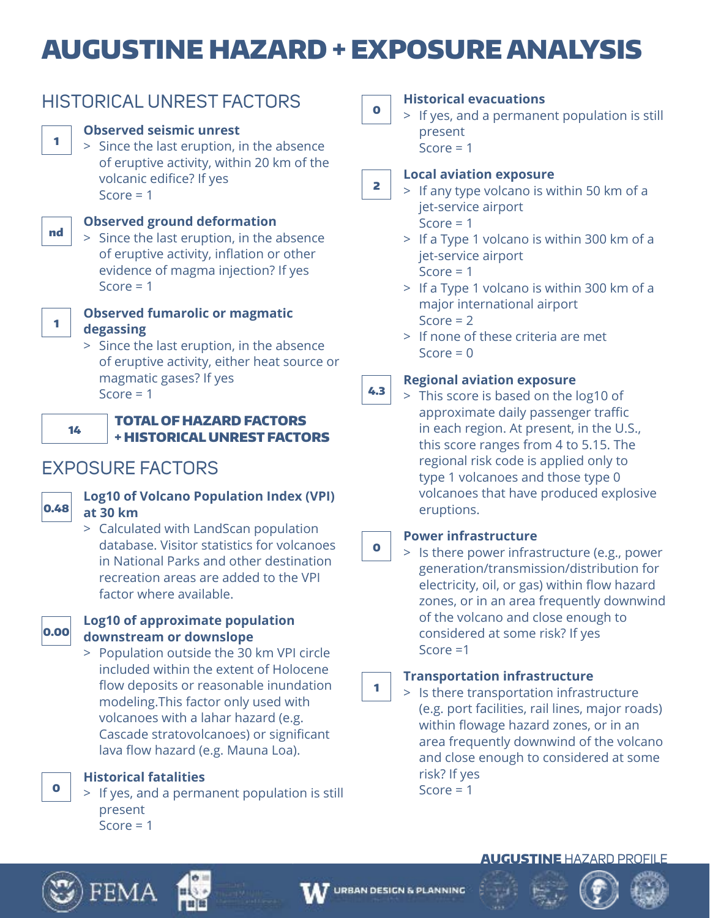# AUGUSTINE HAZARD + EXPOSURE ANALYSIS

|--|--|

# HISTORICAL UNREST FACTORS

# **Observed seismic unrest**

 > Since the last eruption, in the absence of eruptive activity, within 20 km of the volcanic edifice? If yes Score  $= 1$ 



# **Observed ground deformation**

 > Since the last eruption, in the absence of eruptive activity, inflation or other evidence of magma injection? If yes Score  $= 1$ 



# **Observed fumarolic or magmatic degassing**

 > Since the last eruption, in the absence of eruptive activity, either heat source or magmatic gases? If yes Score  $= 1$ 



## TOTAL OF HAZARD FACTORS + HISTORICAL UNREST FACTORS

# EXPOSURE FACTORS



# **Log10 of Volcano Population Index (VPI) at 30 km**

 > Calculated with LandScan population database. Visitor statistics for volcanoes in National Parks and other destination recreation areas are added to the VPI factor where available.



## **Log10 of approximate population downstream or downslope**

 > Population outside the 30 km VPI circle included within the extent of Holocene flow deposits or reasonable inundation modeling.This factor only used with volcanoes with a lahar hazard (e.g. Cascade stratovolcanoes) or significant lava flow hazard (e.g. Mauna Loa).

**Historical fatalities**

 > If yes, and a permanent population is still present  $Score = 1$ 

0

2

# **Historical evacuations**

 > If yes, and a permanent population is still present  $Score = 1$ 

**Local aviation exposure**

- > If any type volcano is within 50 km of a jet-service airport Score  $= 1$ 
	- > If a Type 1 volcano is within 300 km of a jet-service airport

Score  $= 1$ 

- > If a Type 1 volcano is within 300 km of a major international airport Score  $= 2$
- > If none of these criteria are met  $Score = 0$

### 4.3 **Regional aviation exposure**

 > This score is based on the log10 of approximate daily passenger traffic in each region. At present, in the U.S., this score ranges from 4 to 5.15. The regional risk code is applied only to type 1 volcanoes and those type 0 volcanoes that have produced explosive eruptions.

#### 0 **Power infrastructure**

 > Is there power infrastructure (e.g., power generation/transmission/distribution for electricity, oil, or gas) within flow hazard zones, or in an area frequently downwind of the volcano and close enough to considered at some risk? If yes Score =1

### 1 **Transportation infrastructure**

 > Is there transportation infrastructure (e.g. port facilities, rail lines, major roads) within flowage hazard zones, or in an area frequently downwind of the volcano and close enough to considered at some risk? If yes Score  $= 1$ 

# AUGUSTINE HAZARD PROFILE



0







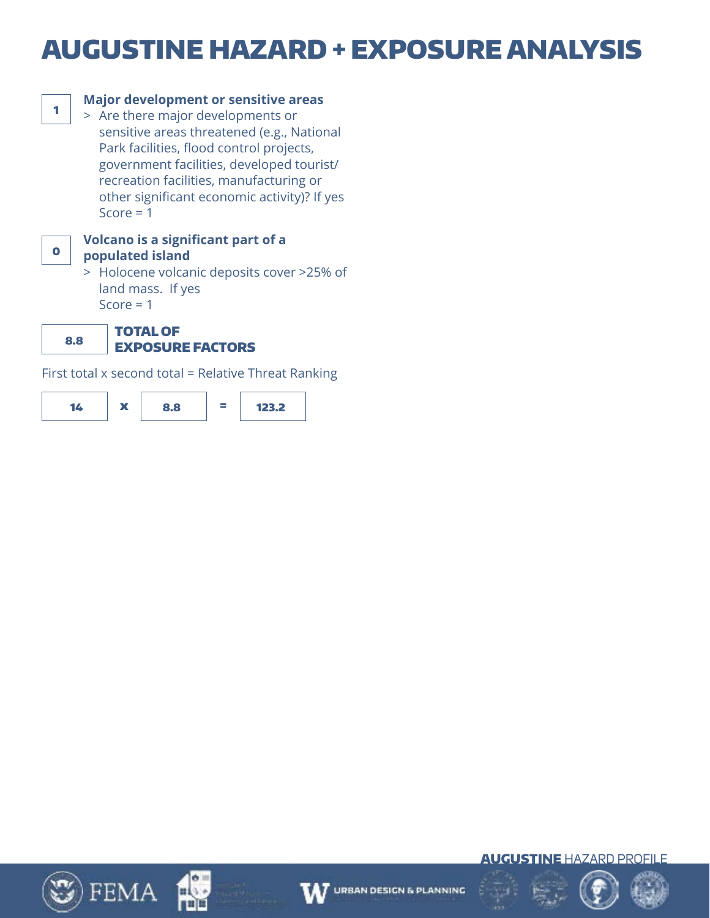# AUGUSTINE HAZARD + EXPOSURE ANALYSIS



# **Major development or sensitive areas**

 > Are there major developments or sensitive areas threatened (e.g., National Park facilities, flood control projects, government facilities, developed tourist/ recreation facilities, manufacturing or other significant economic activity)? If yes Score  $= 1$ 



### **Volcano is a significant part of a populated island**

 > Holocene volcanic deposits cover >25% of land mass. If yes Score  $= 1$ 

8.8 TOTAL OF EXPOSURE FACTORS

First total x second total = Relative Threat Ranking

















**AUGUSTINE HAZARD PROFILE** 

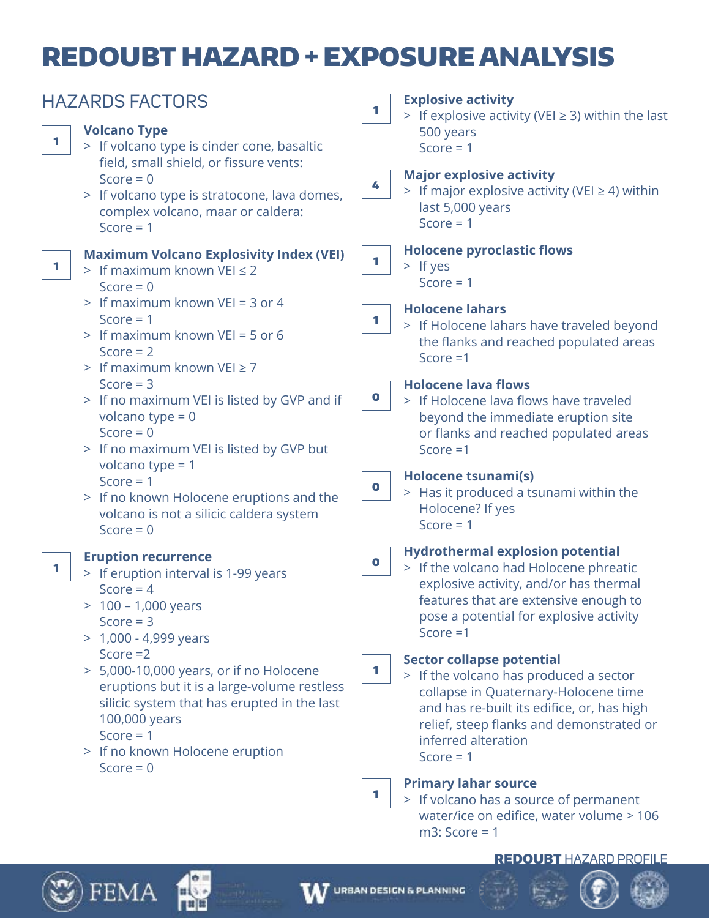# REDOUBT HAZARD + EXPOSURE ANALYSIS

| <b>HAZARDS FACTORS</b>                                                                                                                                                                                                                                                                                                                                                                           | <b>Explosive activity</b><br>1<br>> If explosive activity (VEI $\geq$ 3) within the last                                                                                                                                                                                                                                                                                                                                                                                                                |  |
|--------------------------------------------------------------------------------------------------------------------------------------------------------------------------------------------------------------------------------------------------------------------------------------------------------------------------------------------------------------------------------------------------|---------------------------------------------------------------------------------------------------------------------------------------------------------------------------------------------------------------------------------------------------------------------------------------------------------------------------------------------------------------------------------------------------------------------------------------------------------------------------------------------------------|--|
| <b>Volcano Type</b><br>1<br>> If volcano type is cinder cone, basaltic<br>field, small shield, or fissure vents:<br>Score = $0$<br>> If volcano type is stratocone, lava domes,<br>complex volcano, maar or caldera:<br>Score $= 1$                                                                                                                                                              | 500 years<br>Score = $1$<br><b>Major explosive activity</b><br>4<br>> If major explosive activity (VEI $\geq$ 4) within<br>last 5,000 years<br>Score $= 1$                                                                                                                                                                                                                                                                                                                                              |  |
| <b>Maximum Volcano Explosivity Index (VEI)</b><br>1<br>> If maximum known VEI $\leq$ 2<br>Score = $0$<br>> If maximum known VEI = 3 or 4<br>Score $= 1$<br>$>$ If maximum known VEI = 5 or 6<br>Score $= 2$                                                                                                                                                                                      | <b>Holocene pyroclastic flows</b><br>$\blacksquare$<br>$>$ If yes<br>Score $= 1$<br><b>Holocene lahars</b><br>$\mathbf{1}$<br>> If Holocene lahars have traveled beyond<br>the flanks and reached populated areas<br>Score $=1$                                                                                                                                                                                                                                                                         |  |
| > If maximum known $VEI \ge 7$<br>Score $=$ 3<br>> If no maximum VEI is listed by GVP and if<br>volcano type = $0$<br>Score = $0$<br>> If no maximum VEI is listed by GVP but<br>volcano type = $1$<br>Score = $1$<br>> If no known Holocene eruptions and the<br>volcano is not a silicic caldera system<br>Score = $0$                                                                         | <b>Holocene lava flows</b><br>$\bullet$<br>> If Holocene lava flows have traveled<br>beyond the immediate eruption site<br>or flanks and reached populated areas<br>Score $=1$<br><b>Holocene tsunami(s)</b><br>$\bullet$<br>> Has it produced a tsunami within the<br>Holocene? If yes<br>Score = $1$                                                                                                                                                                                                  |  |
| <b>Eruption recurrence</b><br>1<br>> If eruption interval is 1-99 years<br>Score = $4$<br>$> 100 - 1,000$ years<br>Score $=$ 3<br>> 1,000 - 4,999 years<br>Score $=2$<br>> 5,000-10,000 years, or if no Holocene<br>eruptions but it is a large-volume restless<br>silicic system that has erupted in the last<br>100,000 years<br>Score = $1$<br>> If no known Holocene eruption<br>Score = $0$ | <b>Hydrothermal explosion potential</b><br>$\mathbf 0$<br>> If the volcano had Holocene phreatic<br>explosive activity, and/or has thermal<br>features that are extensive enough to<br>pose a potential for explosive activity<br>Score $=1$<br><b>Sector collapse potential</b><br>1<br>> If the volcano has produced a sector<br>collapse in Quaternary-Holocene time<br>and has re-built its edifice, or, has high<br>relief, steep flanks and demonstrated or<br>inferred alteration<br>Score $= 1$ |  |
|                                                                                                                                                                                                                                                                                                                                                                                                  | <b>Primary lahar source</b><br>1<br>> If volcano has a source of permanent<br>water/ice on edifice, water volume > 106<br>$m3$ : Score = 1                                                                                                                                                                                                                                                                                                                                                              |  |

## REDOUBT HAZARD PROFILE





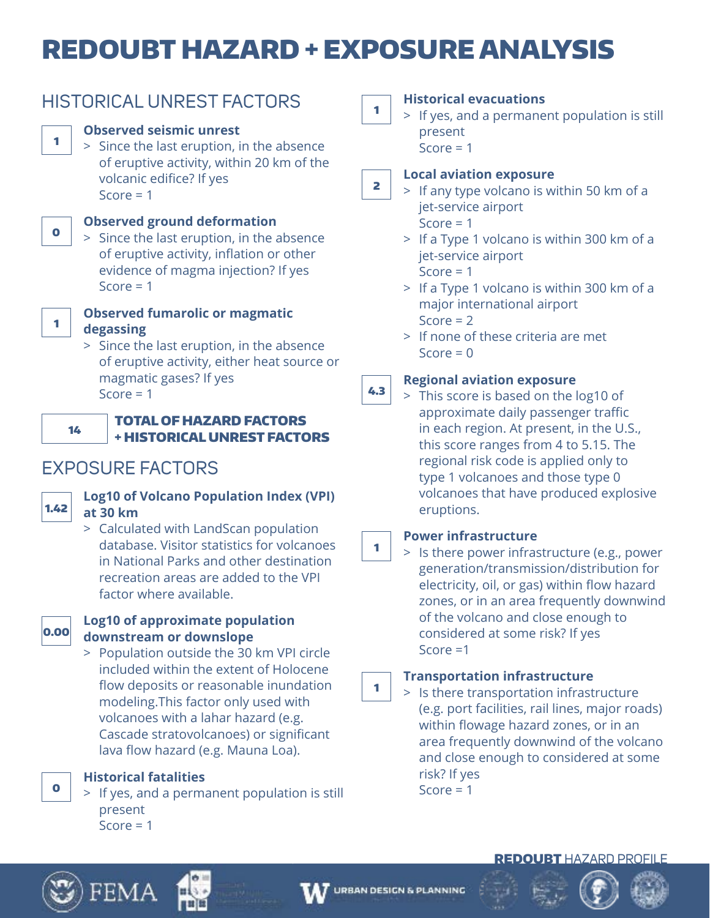# REDOUBT HAZARD + EXPOSURE ANALYSIS





1

0

1

## TOTAL OF HAZARD FACTORS + HISTORICAL UNREST FACTORS

# EXPOSURE FACTORS



# **Log10 of Volcano Population Index (VPI) at 30 km**

 > Calculated with LandScan population database. Visitor statistics for volcanoes in National Parks and other destination recreation areas are added to the VPI factor where available.



0

## **Log10 of approximate population downstream or downslope**

 > Population outside the 30 km VPI circle included within the extent of Holocene flow deposits or reasonable inundation modeling.This factor only used with volcanoes with a lahar hazard (e.g. Cascade stratovolcanoes) or significant lava flow hazard (e.g. Mauna Loa).

**Historical fatalities**

FFMA

 > If yes, and a permanent population is still present  $Score = 1$ 

1

## **Historical evacuations**

 > If yes, and a permanent population is still present

 $Score = 1$ 

### 2 **Local aviation exposure**

- > If any type volcano is within 50 km of a jet-service airport Score  $= 1$ 
	- > If a Type 1 volcano is within 300 km of a jet-service airport Score  $= 1$
	- > If a Type 1 volcano is within 300 km of a major international airport Score  $= 2$
	- > If none of these criteria are met  $Score = 0$

### 4.3 **Regional aviation exposure**

 > This score is based on the log10 of approximate daily passenger traffic in each region. At present, in the U.S., this score ranges from 4 to 5.15. The regional risk code is applied only to type 1 volcanoes and those type 0 volcanoes that have produced explosive eruptions.

# **Power infrastructure**

1

 > Is there power infrastructure (e.g., power generation/transmission/distribution for electricity, oil, or gas) within flow hazard zones, or in an area frequently downwind of the volcano and close enough to considered at some risk? If yes Score =1

### 1 **Transportation infrastructure**

 > Is there transportation infrastructure (e.g. port facilities, rail lines, major roads) within flowage hazard zones, or in an area frequently downwind of the volcano and close enough to considered at some risk? If yes Score  $= 1$ 



# REDOUBT HAZARD PROFILE



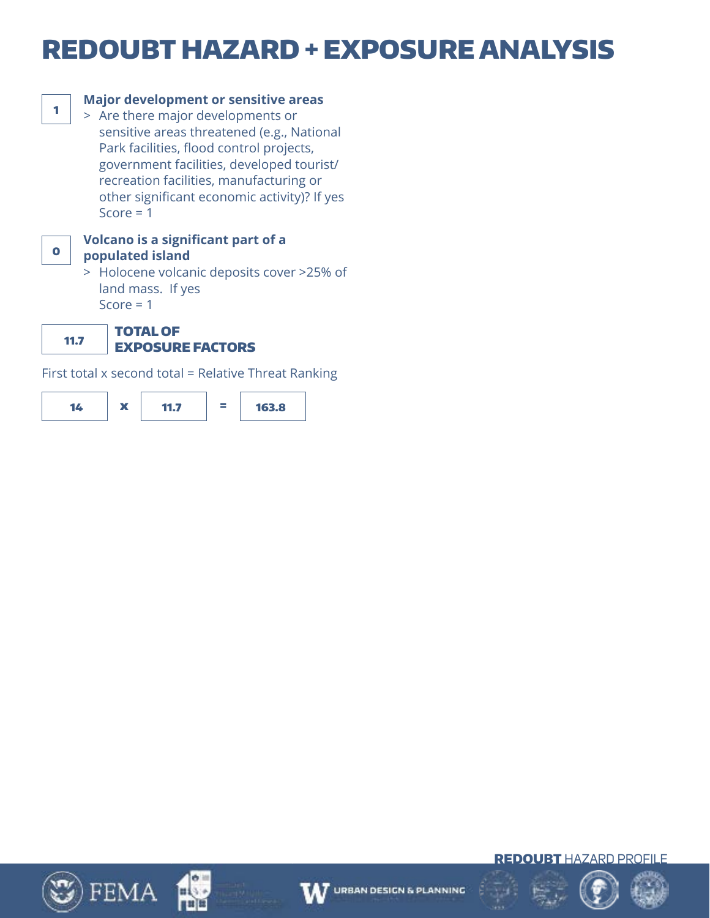# REDOUBT HAZARD + EXPOSURE ANALYSIS



# **Major development or sensitive areas**

 > Are there major developments or sensitive areas threatened (e.g., National Park facilities, flood control projects, government facilities, developed tourist/ recreation facilities, manufacturing or other significant economic activity)? If yes Score  $= 1$ 



### **Volcano is a significant part of a populated island**

 > Holocene volcanic deposits cover >25% of land mass. If yes Score  $= 1$ 

11.7 TOTAL OF

# EXPOSURE FACTORS

First total x second total = Relative Threat Ranking













REDOUBT HAZARD PROFILE

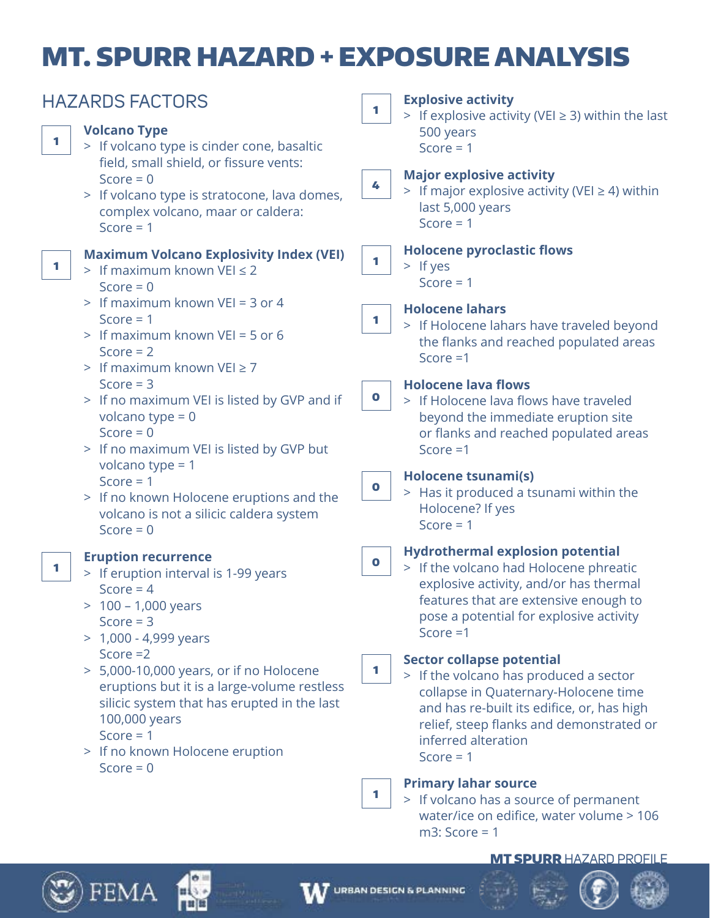# MT. SPURR HAZARD + EXPOSURE ANALYSIS

| <b>HAZARDS FACTORS</b>                                                                                                                                                                                                 | <b>Explosive activity</b><br>1                                                                                                                                                                                                                          |  |
|------------------------------------------------------------------------------------------------------------------------------------------------------------------------------------------------------------------------|---------------------------------------------------------------------------------------------------------------------------------------------------------------------------------------------------------------------------------------------------------|--|
| <b>Volcano Type</b><br>1<br>> If volcano type is cinder cone, basaltic<br>field, small shield, or fissure vents:                                                                                                       | > If explosive activity (VEI $\geq$ 3) within the last<br>500 years<br>Score = $1$                                                                                                                                                                      |  |
| Score = $0$<br>> If volcano type is stratocone, lava domes,<br>complex volcano, maar or caldera:<br>Score $= 1$                                                                                                        | <b>Major explosive activity</b><br>4<br>> If major explosive activity (VEI $\geq$ 4) within<br>last 5,000 years<br>Score $= 1$                                                                                                                          |  |
| <b>Maximum Volcano Explosivity Index (VEI)</b><br>1<br>> If maximum known VEI $\leq$ 2<br>Score = $0$                                                                                                                  | <b>Holocene pyroclastic flows</b><br>1<br>$>$ If yes<br>Score $= 1$                                                                                                                                                                                     |  |
| > If maximum known VEI = 3 or 4<br>Score $= 1$<br>> If maximum known VEI = 5 or 6<br>Score = $2$<br>> If maximum known VEI $\geq$ 7                                                                                    | <b>Holocene lahars</b><br>1<br>> If Holocene lahars have traveled beyond<br>the flanks and reached populated areas<br>Score $=1$                                                                                                                        |  |
| Score $=$ 3<br>> If no maximum VEI is listed by GVP and if<br>volcano type = $0$<br>Score = $0$<br>> If no maximum VEI is listed by GVP but                                                                            | <b>Holocene lava flows</b><br>$\bullet$<br>> If Holocene lava flows have traveled<br>beyond the immediate eruption site<br>or flanks and reached populated areas<br>Score $=1$                                                                          |  |
| volcano type = $1$<br>Score $= 1$<br>> If no known Holocene eruptions and the<br>volcano is not a silicic caldera system<br>Score = $0$                                                                                | Holocene tsunami(s)<br>$\bullet$<br>> Has it produced a tsunami within the<br>Holocene? If yes<br>Score $= 1$                                                                                                                                           |  |
| <b>Eruption recurrence</b><br>1<br>> If eruption interval is 1-99 years<br>Score = $4$<br>$> 100 - 1,000$ years<br>Score $=$ 3<br>$> 1,000 - 4,999$ years                                                              | <b>Hydrothermal explosion potential</b><br>$\bullet$<br>> If the volcano had Holocene phreatic<br>explosive activity, and/or has thermal<br>features that are extensive enough to<br>pose a potential for explosive activity<br>Score $=1$              |  |
| Score $=2$<br>> 5,000-10,000 years, or if no Holocene<br>eruptions but it is a large-volume restless<br>silicic system that has erupted in the last<br>100,000 years<br>Score $= 1$<br>> If no known Holocene eruption | <b>Sector collapse potential</b><br>1<br>> If the volcano has produced a sector<br>collapse in Quaternary-Holocene time<br>and has re-built its edifice, or, has high<br>relief, steep flanks and demonstrated or<br>inferred alteration<br>Score = $1$ |  |
| Score = $0$                                                                                                                                                                                                            | <b>Primary lahar source</b><br>1<br>> If volcano has a source of permanent<br>water/ice on edifice, water volume > 106<br>$m3$ : Score = 1                                                                                                              |  |

## MT SPURR HAZARD PROFILE





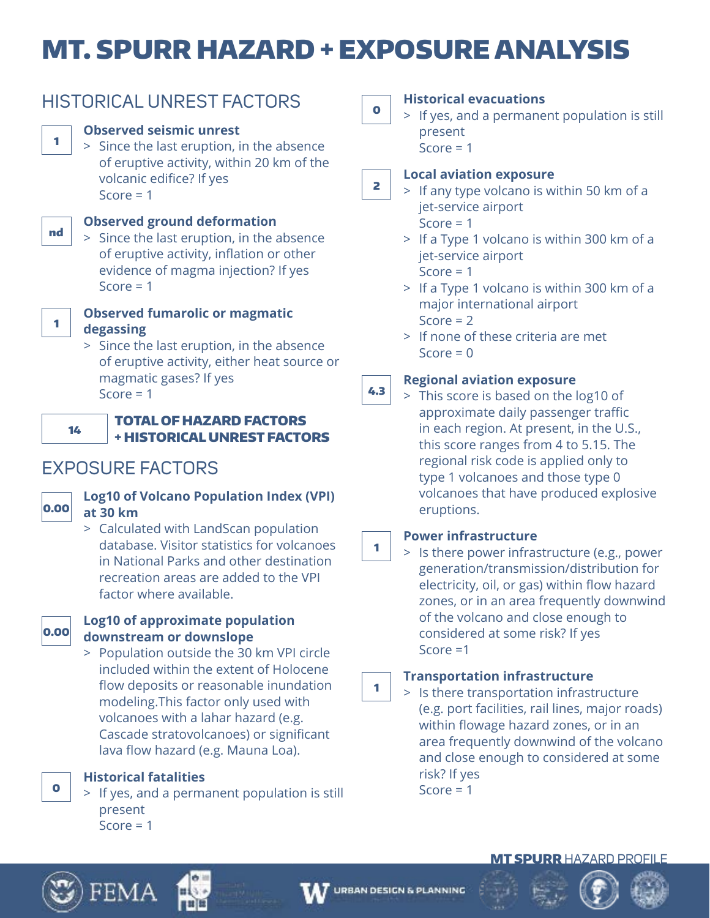# MT. SPURR HAZARD + EXPOSURE ANALYSIS



# HISTORICAL UNREST FACTORS

# **Observed seismic unrest**

 > Since the last eruption, in the absence of eruptive activity, within 20 km of the volcanic edifice? If yes Score  $= 1$ 



# **Observed ground deformation**

 > Since the last eruption, in the absence of eruptive activity, inflation or other evidence of magma injection? If yes Score  $= 1$ 



## **Observed fumarolic or magmatic degassing**

 > Since the last eruption, in the absence of eruptive activity, either heat source or magmatic gases? If yes Score  $= 1$ 



## TOTAL OF HAZARD FACTORS + HISTORICAL UNREST FACTORS

# EXPOSURE FACTORS



# **Log10 of Volcano Population Index (VPI) at 30 km**

 > Calculated with LandScan population database. Visitor statistics for volcanoes in National Parks and other destination recreation areas are added to the VPI factor where available.



0

## **Log10 of approximate population downstream or downslope**

 > Population outside the 30 km VPI circle included within the extent of Holocene flow deposits or reasonable inundation modeling.This factor only used with volcanoes with a lahar hazard (e.g. Cascade stratovolcanoes) or significant lava flow hazard (e.g. Mauna Loa).

**Historical fatalities**

FEMA

 > If yes, and a permanent population is still present  $Score = 1$ 

0

# **Historical evacuations**

 > If yes, and a permanent population is still present  $Score = 1$ 

### 2 **Local aviation exposure**

 > If any type volcano is within 50 km of a jet-service airport Score  $= 1$ 

> If a Type 1 volcano is within 300 km of a

jet-service airport

Score  $= 1$ 

- > If a Type 1 volcano is within 300 km of a major international airport Score  $= 2$
- > If none of these criteria are met  $Score = 0$

### 4.3 **Regional aviation exposure**

 > This score is based on the log10 of approximate daily passenger traffic in each region. At present, in the U.S., this score ranges from 4 to 5.15. The regional risk code is applied only to type 1 volcanoes and those type 0 volcanoes that have produced explosive eruptions.

# **Power infrastructure**

 > Is there power infrastructure (e.g., power generation/transmission/distribution for electricity, oil, or gas) within flow hazard zones, or in an area frequently downwind of the volcano and close enough to considered at some risk? If yes Score =1

# **Transportation infrastructure**

 > Is there transportation infrastructure (e.g. port facilities, rail lines, major roads) within flowage hazard zones, or in an area frequently downwind of the volcano and close enough to considered at some risk? If yes Score  $= 1$ 





1

1

# **MT SPURR HAZARD PROFILE**